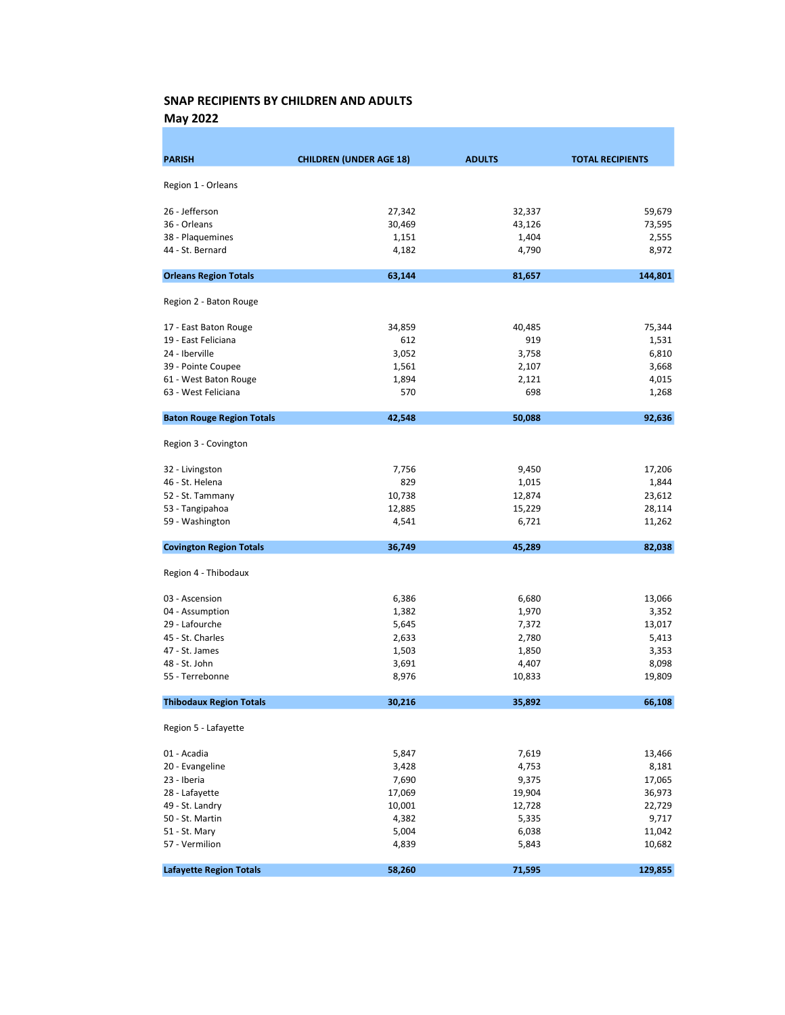May 2022

| <b>PARISH</b>                    | <b>CHILDREN (UNDER AGE 18)</b> | <b>ADULTS</b> | <b>TOTAL RECIPIENTS</b> |
|----------------------------------|--------------------------------|---------------|-------------------------|
| Region 1 - Orleans               |                                |               |                         |
|                                  |                                |               |                         |
| 26 - Jefferson                   | 27,342                         | 32,337        | 59,679                  |
| 36 - Orleans                     | 30,469                         | 43,126        | 73,595                  |
| 38 - Plaquemines                 | 1,151                          | 1,404         | 2,555                   |
| 44 - St. Bernard                 | 4,182                          | 4,790         | 8,972                   |
| <b>Orleans Region Totals</b>     | 63,144                         | 81,657        | 144,801                 |
| Region 2 - Baton Rouge           |                                |               |                         |
| 17 - East Baton Rouge            | 34,859                         | 40,485        | 75,344                  |
| 19 - East Feliciana              | 612                            | 919           | 1,531                   |
| 24 - Iberville                   | 3,052                          | 3,758         | 6,810                   |
| 39 - Pointe Coupee               | 1,561                          | 2,107         | 3,668                   |
| 61 - West Baton Rouge            | 1,894                          | 2,121         | 4,015                   |
| 63 - West Feliciana              | 570                            | 698           | 1,268                   |
| <b>Baton Rouge Region Totals</b> | 42,548                         | 50,088        | 92,636                  |
| Region 3 - Covington             |                                |               |                         |
| 32 - Livingston                  | 7,756                          | 9,450         | 17,206                  |
| 46 - St. Helena                  | 829                            | 1,015         | 1,844                   |
| 52 - St. Tammany                 | 10,738                         | 12,874        | 23,612                  |
| 53 - Tangipahoa                  | 12,885                         | 15,229        | 28,114                  |
| 59 - Washington                  | 4,541                          | 6,721         | 11,262                  |
| <b>Covington Region Totals</b>   | 36,749                         | 45,289        | 82,038                  |
| Region 4 - Thibodaux             |                                |               |                         |
| 03 - Ascension                   | 6,386                          | 6,680         | 13,066                  |
| 04 - Assumption                  | 1,382                          | 1,970         | 3,352                   |
| 29 - Lafourche                   | 5,645                          | 7,372         | 13,017                  |
| 45 - St. Charles                 | 2,633                          | 2,780         | 5,413                   |
| 47 - St. James                   | 1,503                          | 1,850         | 3,353                   |
| 48 - St. John                    | 3,691                          | 4,407         | 8,098                   |
| 55 - Terrebonne                  | 8,976                          | 10,833        | 19,809                  |
| <b>Thibodaux Region Totals</b>   | 30.216                         | 35,892        | 66,108                  |
| Region 5 - Lafayette             |                                |               |                         |
| 01 - Acadia                      | 5,847                          | 7,619         | 13,466                  |
| 20 - Evangeline                  | 3,428                          | 4,753         | 8,181                   |
| 23 - Iberia                      | 7,690                          | 9,375         | 17,065                  |
| 28 - Lafayette                   | 17,069                         | 19,904        | 36,973                  |
| 49 - St. Landry                  | 10,001                         | 12,728        | 22,729                  |
| 50 - St. Martin                  | 4,382                          | 5,335         | 9,717                   |
| 51 - St. Mary                    | 5,004                          | 6,038         | 11,042                  |
| 57 - Vermilion                   | 4,839                          | 5,843         | 10,682                  |
| <b>Lafayette Region Totals</b>   | 58,260                         | 71,595        | 129,855                 |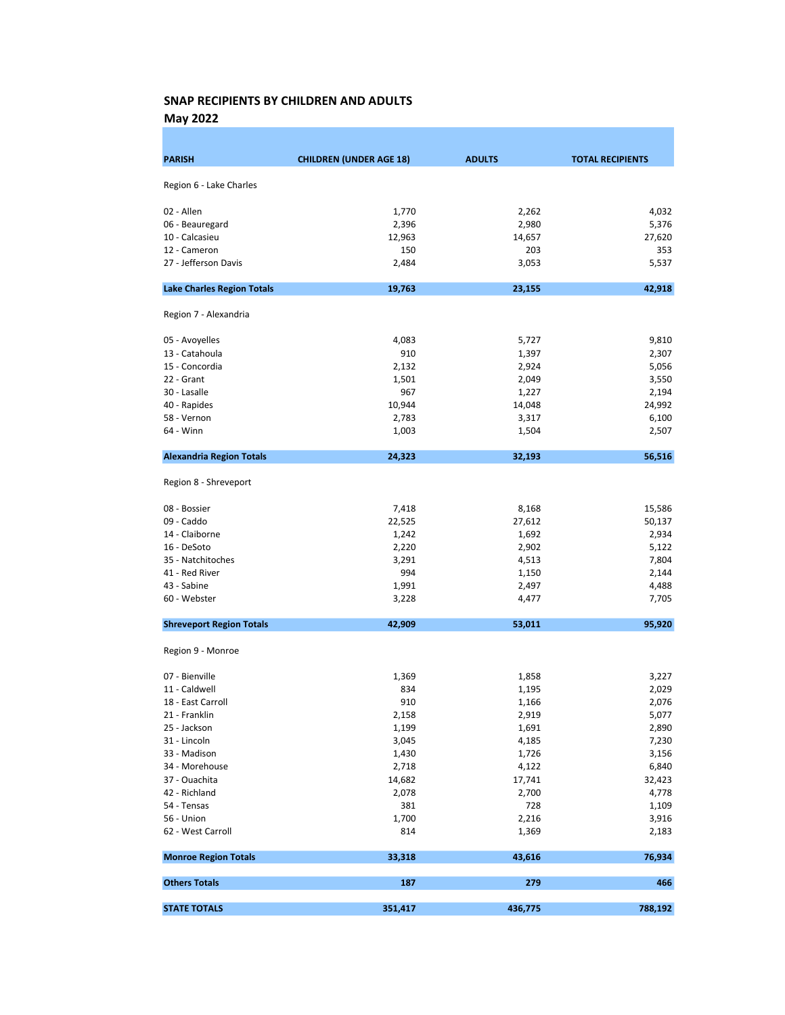May 2022

| <b>PARISH</b>                     | <b>CHILDREN (UNDER AGE 18)</b> | <b>ADULTS</b> | <b>TOTAL RECIPIENTS</b> |
|-----------------------------------|--------------------------------|---------------|-------------------------|
|                                   |                                |               |                         |
| Region 6 - Lake Charles           |                                |               |                         |
| 02 - Allen                        | 1,770                          | 2,262         | 4,032                   |
| 06 - Beauregard                   | 2,396                          | 2,980         | 5,376                   |
| 10 - Calcasieu                    | 12,963                         | 14,657        | 27,620                  |
| 12 - Cameron                      | 150                            | 203           | 353                     |
| 27 - Jefferson Davis              | 2,484                          | 3,053         | 5,537                   |
| <b>Lake Charles Region Totals</b> | 19,763                         | 23,155        | 42,918                  |
| Region 7 - Alexandria             |                                |               |                         |
| 05 - Avoyelles                    | 4,083                          | 5,727         | 9,810                   |
| 13 - Catahoula                    | 910                            | 1,397         | 2,307                   |
| 15 - Concordia                    | 2,132                          | 2,924         | 5,056                   |
| 22 - Grant                        | 1,501                          | 2,049         | 3,550                   |
| 30 - Lasalle                      | 967                            | 1,227         | 2,194                   |
| 40 - Rapides                      | 10,944                         | 14,048        | 24,992                  |
| 58 - Vernon                       | 2,783                          | 3,317         | 6,100                   |
| 64 - Winn                         | 1,003                          | 1,504         | 2,507                   |
| <b>Alexandria Region Totals</b>   | 24,323                         | 32,193        | 56,516                  |
| Region 8 - Shreveport             |                                |               |                         |
| 08 - Bossier                      | 7,418                          | 8,168         | 15,586                  |
| 09 - Caddo                        | 22,525                         | 27,612        | 50,137                  |
| 14 - Claiborne                    | 1,242                          | 1,692         | 2,934                   |
| 16 - DeSoto                       | 2,220                          | 2,902         | 5,122                   |
| 35 - Natchitoches                 | 3,291                          | 4,513         | 7,804                   |
| 41 - Red River                    | 994                            | 1,150         | 2,144                   |
| 43 - Sabine                       | 1,991                          | 2,497         | 4,488                   |
| 60 - Webster                      | 3,228                          | 4,477         | 7,705                   |
| <b>Shreveport Region Totals</b>   | 42,909                         | 53,011        | 95,920                  |
| Region 9 - Monroe                 |                                |               |                         |
| 07 - Bienville                    | 1,369                          | 1,858         | 3,227                   |
| 11 - Caldwell                     | 834                            | 1,195         | 2,029                   |
| 18 - East Carroll                 | 910                            | 1,166         | 2,076                   |
| 21 - Franklin                     | 2,158                          | 2,919         | 5,077                   |
| 25 - Jackson                      | 1,199                          | 1,691         | 2,890                   |
| 31 - Lincoln                      | 3,045                          | 4,185         | 7,230                   |
| 33 - Madison                      | 1,430                          | 1,726         | 3,156                   |
| 34 - Morehouse                    | 2,718                          | 4,122         | 6,840                   |
| 37 - Ouachita                     | 14,682                         | 17,741        | 32,423                  |
| 42 - Richland                     | 2,078                          | 2,700         | 4,778                   |
| 54 - Tensas                       | 381                            | 728           | 1,109                   |
| 56 - Union                        | 1,700                          | 2,216         | 3,916                   |
| 62 - West Carroll                 | 814                            | 1,369         | 2,183                   |
| <b>Monroe Region Totals</b>       | 33,318                         | 43,616        | 76,934                  |
| <b>Others Totals</b>              | 187                            | 279           | 466                     |
| <b>STATE TOTALS</b>               | 351,417                        | 436,775       | 788,192                 |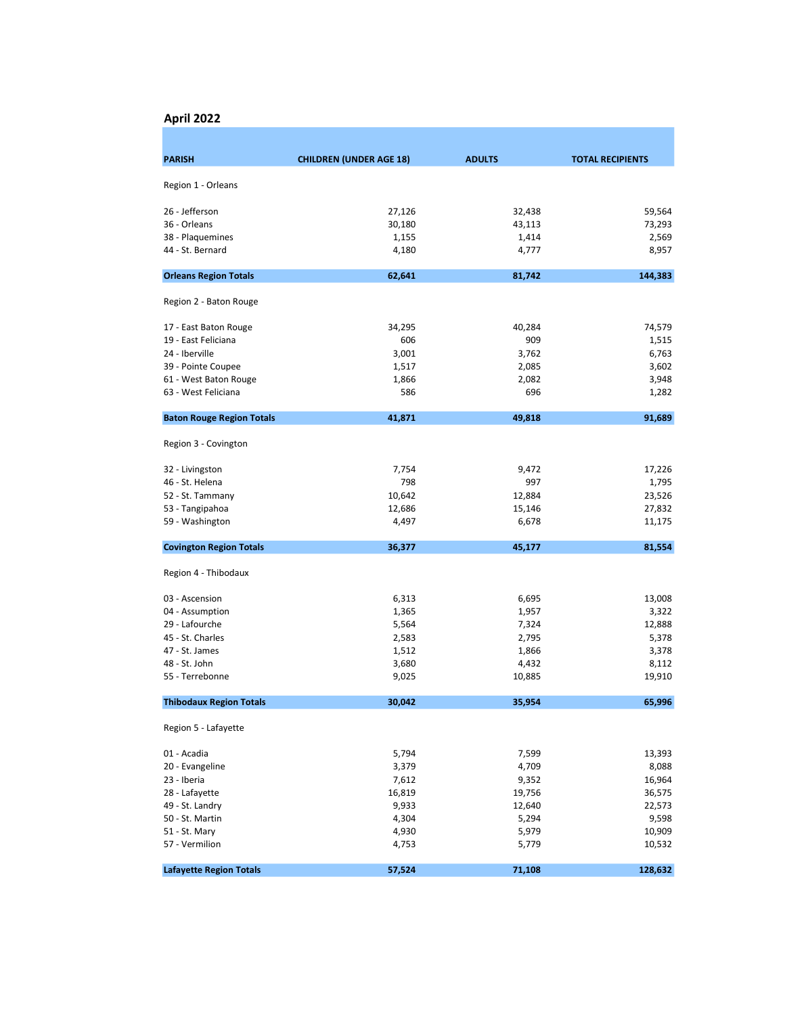#### April 2022

| Region 1 - Orleans<br>26 - Jefferson<br>27,126<br>32,438<br>36 - Orleans<br>30,180<br>43,113<br>38 - Plaquemines<br>1,155<br>1,414<br>44 - St. Bernard<br>4,180<br>4,777<br><b>Orleans Region Totals</b><br>62,641<br>81,742<br>Region 2 - Baton Rouge<br>34,295<br>17 - East Baton Rouge<br>40,284<br>909<br>19 - East Feliciana<br>606<br>24 - Iberville<br>3,001<br>3,762<br>39 - Pointe Coupee<br>1,517<br>2,085<br>61 - West Baton Rouge<br>1,866<br>2,082<br>63 - West Feliciana<br>586<br>696<br><b>Baton Rouge Region Totals</b><br>41,871<br>49,818<br>Region 3 - Covington<br>7,754<br>32 - Livingston<br>9,472<br>798<br>46 - St. Helena<br>997<br>52 - St. Tammany<br>10,642<br>12,884<br>53 - Tangipahoa<br>12,686<br>15,146<br>59 - Washington<br>6,678<br>4,497<br><b>Covington Region Totals</b><br>36,377<br>45,177<br>Region 4 - Thibodaux<br>03 - Ascension<br>6,313<br>6,695<br>13,008<br>04 - Assumption<br>1,365<br>1,957<br>3,322<br>29 - Lafourche<br>5,564<br>7,324<br>45 - St. Charles<br>2,583<br>2,795<br>47 - St. James<br>1,512<br>1,866<br>48 - St. John<br>3,680<br>4,432<br>55 - Terrebonne<br>9,025<br>10,885<br>30,042<br><b>Thibodaux Region Totals</b><br>35,954<br>Region 5 - Lafayette<br>01 - Acadia<br>5,794<br>7,599 | <b>PARISH</b> | <b>CHILDREN (UNDER AGE 18)</b> | <b>ADULTS</b> | <b>TOTAL RECIPIENTS</b> |
|----------------------------------------------------------------------------------------------------------------------------------------------------------------------------------------------------------------------------------------------------------------------------------------------------------------------------------------------------------------------------------------------------------------------------------------------------------------------------------------------------------------------------------------------------------------------------------------------------------------------------------------------------------------------------------------------------------------------------------------------------------------------------------------------------------------------------------------------------------------------------------------------------------------------------------------------------------------------------------------------------------------------------------------------------------------------------------------------------------------------------------------------------------------------------------------------------------------------------------------------------------------|---------------|--------------------------------|---------------|-------------------------|
|                                                                                                                                                                                                                                                                                                                                                                                                                                                                                                                                                                                                                                                                                                                                                                                                                                                                                                                                                                                                                                                                                                                                                                                                                                                                |               |                                |               |                         |
|                                                                                                                                                                                                                                                                                                                                                                                                                                                                                                                                                                                                                                                                                                                                                                                                                                                                                                                                                                                                                                                                                                                                                                                                                                                                |               |                                |               |                         |
|                                                                                                                                                                                                                                                                                                                                                                                                                                                                                                                                                                                                                                                                                                                                                                                                                                                                                                                                                                                                                                                                                                                                                                                                                                                                |               |                                |               | 59,564                  |
|                                                                                                                                                                                                                                                                                                                                                                                                                                                                                                                                                                                                                                                                                                                                                                                                                                                                                                                                                                                                                                                                                                                                                                                                                                                                |               |                                |               | 73,293                  |
|                                                                                                                                                                                                                                                                                                                                                                                                                                                                                                                                                                                                                                                                                                                                                                                                                                                                                                                                                                                                                                                                                                                                                                                                                                                                |               |                                |               | 2,569                   |
|                                                                                                                                                                                                                                                                                                                                                                                                                                                                                                                                                                                                                                                                                                                                                                                                                                                                                                                                                                                                                                                                                                                                                                                                                                                                |               |                                |               | 8,957                   |
|                                                                                                                                                                                                                                                                                                                                                                                                                                                                                                                                                                                                                                                                                                                                                                                                                                                                                                                                                                                                                                                                                                                                                                                                                                                                |               |                                |               | 144,383                 |
|                                                                                                                                                                                                                                                                                                                                                                                                                                                                                                                                                                                                                                                                                                                                                                                                                                                                                                                                                                                                                                                                                                                                                                                                                                                                |               |                                |               |                         |
|                                                                                                                                                                                                                                                                                                                                                                                                                                                                                                                                                                                                                                                                                                                                                                                                                                                                                                                                                                                                                                                                                                                                                                                                                                                                |               |                                |               |                         |
|                                                                                                                                                                                                                                                                                                                                                                                                                                                                                                                                                                                                                                                                                                                                                                                                                                                                                                                                                                                                                                                                                                                                                                                                                                                                |               |                                |               | 74,579                  |
|                                                                                                                                                                                                                                                                                                                                                                                                                                                                                                                                                                                                                                                                                                                                                                                                                                                                                                                                                                                                                                                                                                                                                                                                                                                                |               |                                |               | 1,515                   |
|                                                                                                                                                                                                                                                                                                                                                                                                                                                                                                                                                                                                                                                                                                                                                                                                                                                                                                                                                                                                                                                                                                                                                                                                                                                                |               |                                |               | 6,763                   |
|                                                                                                                                                                                                                                                                                                                                                                                                                                                                                                                                                                                                                                                                                                                                                                                                                                                                                                                                                                                                                                                                                                                                                                                                                                                                |               |                                |               | 3,602                   |
|                                                                                                                                                                                                                                                                                                                                                                                                                                                                                                                                                                                                                                                                                                                                                                                                                                                                                                                                                                                                                                                                                                                                                                                                                                                                |               |                                |               | 3,948                   |
|                                                                                                                                                                                                                                                                                                                                                                                                                                                                                                                                                                                                                                                                                                                                                                                                                                                                                                                                                                                                                                                                                                                                                                                                                                                                |               |                                |               | 1,282                   |
|                                                                                                                                                                                                                                                                                                                                                                                                                                                                                                                                                                                                                                                                                                                                                                                                                                                                                                                                                                                                                                                                                                                                                                                                                                                                |               |                                |               | 91,689                  |
|                                                                                                                                                                                                                                                                                                                                                                                                                                                                                                                                                                                                                                                                                                                                                                                                                                                                                                                                                                                                                                                                                                                                                                                                                                                                |               |                                |               |                         |
|                                                                                                                                                                                                                                                                                                                                                                                                                                                                                                                                                                                                                                                                                                                                                                                                                                                                                                                                                                                                                                                                                                                                                                                                                                                                |               |                                |               | 17,226                  |
|                                                                                                                                                                                                                                                                                                                                                                                                                                                                                                                                                                                                                                                                                                                                                                                                                                                                                                                                                                                                                                                                                                                                                                                                                                                                |               |                                |               | 1,795                   |
|                                                                                                                                                                                                                                                                                                                                                                                                                                                                                                                                                                                                                                                                                                                                                                                                                                                                                                                                                                                                                                                                                                                                                                                                                                                                |               |                                |               | 23,526                  |
|                                                                                                                                                                                                                                                                                                                                                                                                                                                                                                                                                                                                                                                                                                                                                                                                                                                                                                                                                                                                                                                                                                                                                                                                                                                                |               |                                |               | 27,832                  |
|                                                                                                                                                                                                                                                                                                                                                                                                                                                                                                                                                                                                                                                                                                                                                                                                                                                                                                                                                                                                                                                                                                                                                                                                                                                                |               |                                |               | 11,175                  |
|                                                                                                                                                                                                                                                                                                                                                                                                                                                                                                                                                                                                                                                                                                                                                                                                                                                                                                                                                                                                                                                                                                                                                                                                                                                                |               |                                |               | 81,554                  |
|                                                                                                                                                                                                                                                                                                                                                                                                                                                                                                                                                                                                                                                                                                                                                                                                                                                                                                                                                                                                                                                                                                                                                                                                                                                                |               |                                |               |                         |
|                                                                                                                                                                                                                                                                                                                                                                                                                                                                                                                                                                                                                                                                                                                                                                                                                                                                                                                                                                                                                                                                                                                                                                                                                                                                |               |                                |               |                         |
|                                                                                                                                                                                                                                                                                                                                                                                                                                                                                                                                                                                                                                                                                                                                                                                                                                                                                                                                                                                                                                                                                                                                                                                                                                                                |               |                                |               |                         |
|                                                                                                                                                                                                                                                                                                                                                                                                                                                                                                                                                                                                                                                                                                                                                                                                                                                                                                                                                                                                                                                                                                                                                                                                                                                                |               |                                |               | 12,888                  |
|                                                                                                                                                                                                                                                                                                                                                                                                                                                                                                                                                                                                                                                                                                                                                                                                                                                                                                                                                                                                                                                                                                                                                                                                                                                                |               |                                |               | 5,378                   |
|                                                                                                                                                                                                                                                                                                                                                                                                                                                                                                                                                                                                                                                                                                                                                                                                                                                                                                                                                                                                                                                                                                                                                                                                                                                                |               |                                |               | 3,378                   |
|                                                                                                                                                                                                                                                                                                                                                                                                                                                                                                                                                                                                                                                                                                                                                                                                                                                                                                                                                                                                                                                                                                                                                                                                                                                                |               |                                |               | 8,112                   |
|                                                                                                                                                                                                                                                                                                                                                                                                                                                                                                                                                                                                                                                                                                                                                                                                                                                                                                                                                                                                                                                                                                                                                                                                                                                                |               |                                |               | 19,910                  |
|                                                                                                                                                                                                                                                                                                                                                                                                                                                                                                                                                                                                                                                                                                                                                                                                                                                                                                                                                                                                                                                                                                                                                                                                                                                                |               |                                |               | 65,996                  |
|                                                                                                                                                                                                                                                                                                                                                                                                                                                                                                                                                                                                                                                                                                                                                                                                                                                                                                                                                                                                                                                                                                                                                                                                                                                                |               |                                |               |                         |
|                                                                                                                                                                                                                                                                                                                                                                                                                                                                                                                                                                                                                                                                                                                                                                                                                                                                                                                                                                                                                                                                                                                                                                                                                                                                |               |                                |               | 13,393                  |
| 20 - Evangeline<br>3,379<br>4,709                                                                                                                                                                                                                                                                                                                                                                                                                                                                                                                                                                                                                                                                                                                                                                                                                                                                                                                                                                                                                                                                                                                                                                                                                              |               |                                |               | 8,088                   |
| 23 - Iberia<br>7,612<br>9,352                                                                                                                                                                                                                                                                                                                                                                                                                                                                                                                                                                                                                                                                                                                                                                                                                                                                                                                                                                                                                                                                                                                                                                                                                                  |               |                                |               | 16,964                  |
| 16,819<br>28 - Lafayette<br>19,756                                                                                                                                                                                                                                                                                                                                                                                                                                                                                                                                                                                                                                                                                                                                                                                                                                                                                                                                                                                                                                                                                                                                                                                                                             |               |                                |               | 36,575                  |
| 49 - St. Landry<br>9,933<br>12,640                                                                                                                                                                                                                                                                                                                                                                                                                                                                                                                                                                                                                                                                                                                                                                                                                                                                                                                                                                                                                                                                                                                                                                                                                             |               |                                |               | 22,573                  |
| 50 - St. Martin<br>4,304<br>5,294                                                                                                                                                                                                                                                                                                                                                                                                                                                                                                                                                                                                                                                                                                                                                                                                                                                                                                                                                                                                                                                                                                                                                                                                                              |               |                                |               | 9,598                   |
| 51 - St. Mary<br>4,930<br>5,979                                                                                                                                                                                                                                                                                                                                                                                                                                                                                                                                                                                                                                                                                                                                                                                                                                                                                                                                                                                                                                                                                                                                                                                                                                |               |                                |               | 10,909                  |
| 57 - Vermilion<br>4,753<br>5,779                                                                                                                                                                                                                                                                                                                                                                                                                                                                                                                                                                                                                                                                                                                                                                                                                                                                                                                                                                                                                                                                                                                                                                                                                               |               |                                |               | 10,532                  |
| <b>Lafayette Region Totals</b><br>57,524<br>71,108                                                                                                                                                                                                                                                                                                                                                                                                                                                                                                                                                                                                                                                                                                                                                                                                                                                                                                                                                                                                                                                                                                                                                                                                             |               |                                |               | 128,632                 |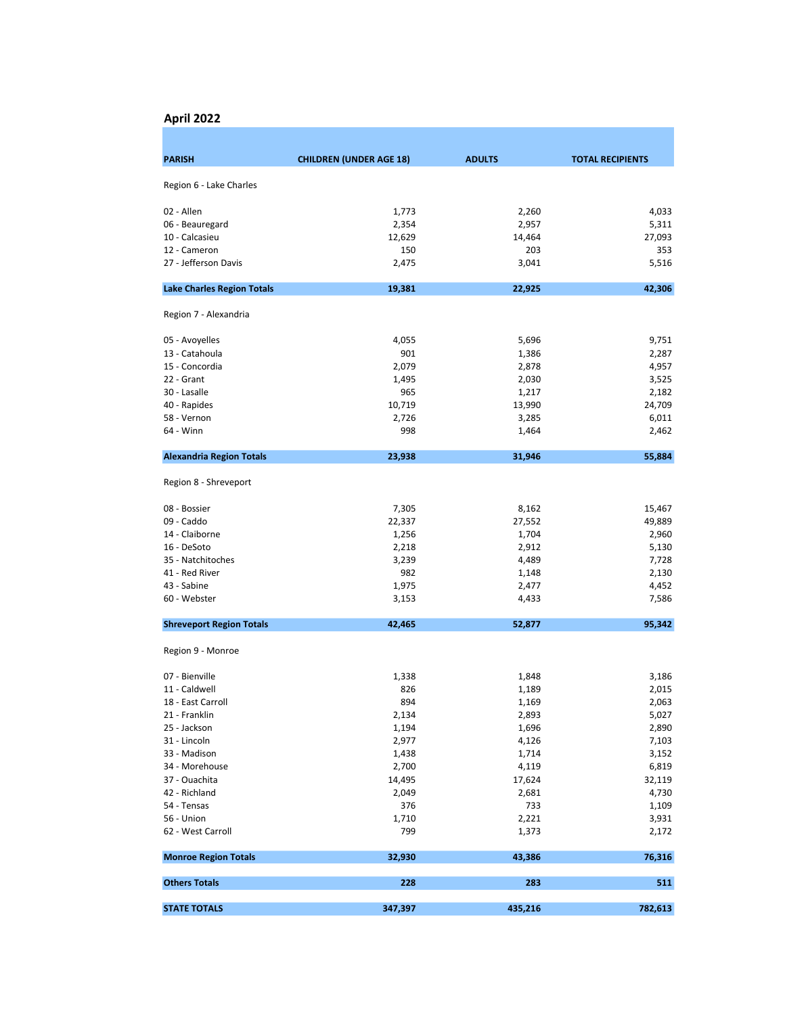#### April 2022

| <b>PARISH</b>                     | <b>CHILDREN (UNDER AGE 18)</b> | <b>ADULTS</b> | <b>TOTAL RECIPIENTS</b> |
|-----------------------------------|--------------------------------|---------------|-------------------------|
| Region 6 - Lake Charles           |                                |               |                         |
|                                   |                                |               |                         |
| 02 - Allen                        | 1,773                          | 2,260         | 4,033                   |
| 06 - Beauregard                   | 2,354                          | 2,957         | 5,311                   |
| 10 - Calcasieu                    | 12,629                         | 14,464        | 27,093                  |
| 12 - Cameron                      | 150                            | 203           | 353                     |
| 27 - Jefferson Davis              | 2,475                          | 3,041         | 5,516                   |
| <b>Lake Charles Region Totals</b> | 19,381                         | 22,925        | 42,306                  |
| Region 7 - Alexandria             |                                |               |                         |
| 05 - Avoyelles                    | 4,055                          | 5,696         | 9,751                   |
| 13 - Catahoula                    | 901                            | 1,386         | 2,287                   |
| 15 - Concordia                    | 2,079                          | 2,878         | 4,957                   |
| 22 - Grant                        | 1,495                          | 2,030         | 3,525                   |
| 30 - Lasalle                      | 965                            | 1,217         | 2,182                   |
| 40 - Rapides                      | 10,719                         | 13,990        | 24,709                  |
| 58 - Vernon                       | 2,726                          | 3,285         | 6,011                   |
| 64 - Winn                         | 998                            | 1,464         | 2,462                   |
| <b>Alexandria Region Totals</b>   | 23,938                         | 31,946        | 55,884                  |
| Region 8 - Shreveport             |                                |               |                         |
| 08 - Bossier                      | 7,305                          | 8,162         | 15,467                  |
| 09 - Caddo                        | 22,337                         | 27,552        | 49,889                  |
| 14 - Claiborne                    | 1,256                          | 1,704         | 2,960                   |
| 16 - DeSoto                       | 2,218                          | 2,912         | 5,130                   |
| 35 - Natchitoches                 | 3,239                          | 4,489         | 7,728                   |
| 41 - Red River                    | 982                            | 1,148         | 2,130                   |
| 43 - Sabine                       | 1,975                          | 2,477         | 4,452                   |
| 60 - Webster                      | 3,153                          | 4,433         | 7,586                   |
|                                   |                                |               |                         |
| <b>Shreveport Region Totals</b>   | 42,465                         | 52,877        | 95,342                  |
| Region 9 - Monroe                 |                                |               |                         |
| 07 - Bienville                    | 1,338                          | 1,848         | 3,186                   |
| 11 - Caldwell                     | 826                            | 1,189         | 2,015                   |
| 18 - East Carroll                 | 894                            | 1,169         | 2,063                   |
| 21 - Franklin                     | 2,134                          | 2,893         | 5,027                   |
| 25 - Jackson                      | 1,194                          | 1,696         | 2,890                   |
| 31 - Lincoln                      | 2,977                          | 4,126         | 7,103                   |
| 33 - Madison                      | 1,438                          | 1,714         | 3,152                   |
| 34 - Morehouse                    | 2,700                          | 4,119         | 6,819                   |
| 37 - Ouachita                     | 14,495                         | 17,624        | 32,119                  |
| 42 - Richland                     | 2,049                          | 2,681         | 4,730                   |
| 54 - Tensas                       | 376                            | 733           | 1,109                   |
| 56 - Union                        | 1,710                          | 2,221         | 3,931                   |
| 62 - West Carroll                 | 799                            | 1,373         | 2,172                   |
| <b>Monroe Region Totals</b>       | 32,930                         | 43,386        | 76,316                  |
| <b>Others Totals</b>              | 228                            | 283           | 511                     |
| <b>STATE TOTALS</b>               | 347,397                        | 435,216       | 782,613                 |
|                                   |                                |               |                         |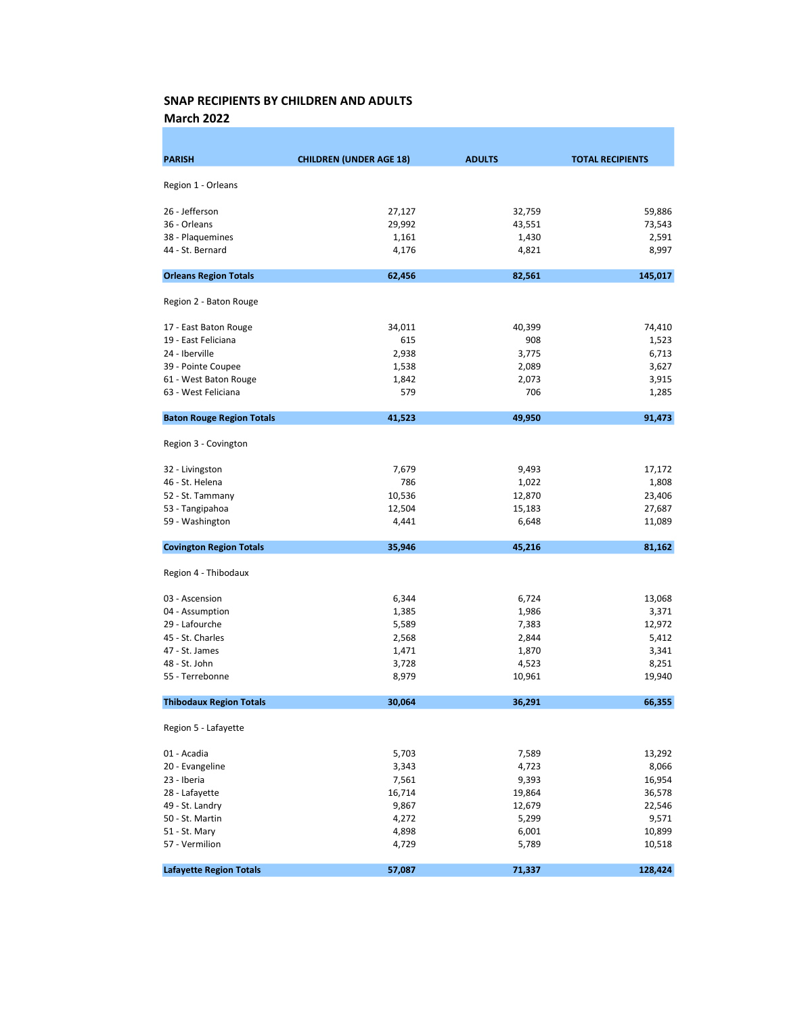March 2022

| <b>PARISH</b>                    | <b>CHILDREN (UNDER AGE 18)</b> | <b>ADULTS</b> | <b>TOTAL RECIPIENTS</b> |
|----------------------------------|--------------------------------|---------------|-------------------------|
|                                  |                                |               |                         |
| Region 1 - Orleans               |                                |               |                         |
| 26 - Jefferson                   | 27,127                         | 32,759        | 59,886                  |
| 36 - Orleans                     | 29,992                         | 43,551        | 73,543                  |
| 38 - Plaquemines                 | 1,161                          | 1,430         | 2,591                   |
| 44 - St. Bernard                 | 4,176                          | 4,821         | 8,997                   |
|                                  |                                |               |                         |
| <b>Orleans Region Totals</b>     | 62,456                         | 82,561        | 145,017                 |
| Region 2 - Baton Rouge           |                                |               |                         |
| 17 - East Baton Rouge            | 34,011                         | 40,399        | 74,410                  |
| 19 - East Feliciana              | 615                            | 908           | 1,523                   |
| 24 - Iberville                   | 2,938                          | 3,775         | 6,713                   |
| 39 - Pointe Coupee               | 1,538                          | 2,089         | 3,627                   |
| 61 - West Baton Rouge            | 1,842                          | 2,073         | 3,915                   |
| 63 - West Feliciana              | 579                            | 706           | 1,285                   |
| <b>Baton Rouge Region Totals</b> | 41,523                         | 49,950        | 91,473                  |
| Region 3 - Covington             |                                |               |                         |
| 32 - Livingston                  | 7,679                          | 9,493         | 17,172                  |
| 46 - St. Helena                  | 786                            | 1,022         | 1,808                   |
| 52 - St. Tammany                 | 10,536                         | 12,870        | 23,406                  |
| 53 - Tangipahoa                  | 12,504                         | 15,183        | 27,687                  |
| 59 - Washington                  | 4,441                          | 6,648         | 11,089                  |
| <b>Covington Region Totals</b>   | 35,946                         | 45,216        | 81,162                  |
| Region 4 - Thibodaux             |                                |               |                         |
| 03 - Ascension                   | 6,344                          | 6,724         | 13,068                  |
| 04 - Assumption                  | 1,385                          | 1,986         | 3,371                   |
| 29 - Lafourche                   | 5,589                          | 7,383         | 12,972                  |
| 45 - St. Charles                 | 2,568                          | 2,844         | 5,412                   |
| 47 - St. James                   | 1,471                          | 1,870         | 3,341                   |
| 48 - St. John                    | 3,728                          | 4,523         | 8,251                   |
| 55 - Terrebonne                  | 8,979                          | 10,961        | 19,940                  |
| <b>Thibodaux Region Totals</b>   | 30,064                         | 36,291        | 66,355                  |
| Region 5 - Lafayette             |                                |               |                         |
| 01 - Acadia                      | 5,703                          | 7,589         | 13,292                  |
| 20 - Evangeline                  | 3,343                          | 4,723         | 8,066                   |
| 23 - Iberia                      | 7,561                          | 9,393         | 16,954                  |
| 28 - Lafayette                   | 16,714                         | 19,864        | 36,578                  |
| 49 - St. Landry                  | 9,867                          | 12,679        | 22,546                  |
| 50 - St. Martin                  | 4,272                          | 5,299         | 9,571                   |
| 51 - St. Mary                    | 4,898                          | 6,001         | 10,899                  |
| 57 - Vermilion                   | 4,729                          | 5,789         | 10,518                  |
| <b>Lafayette Region Totals</b>   | 57,087                         | 71,337        | 128,424                 |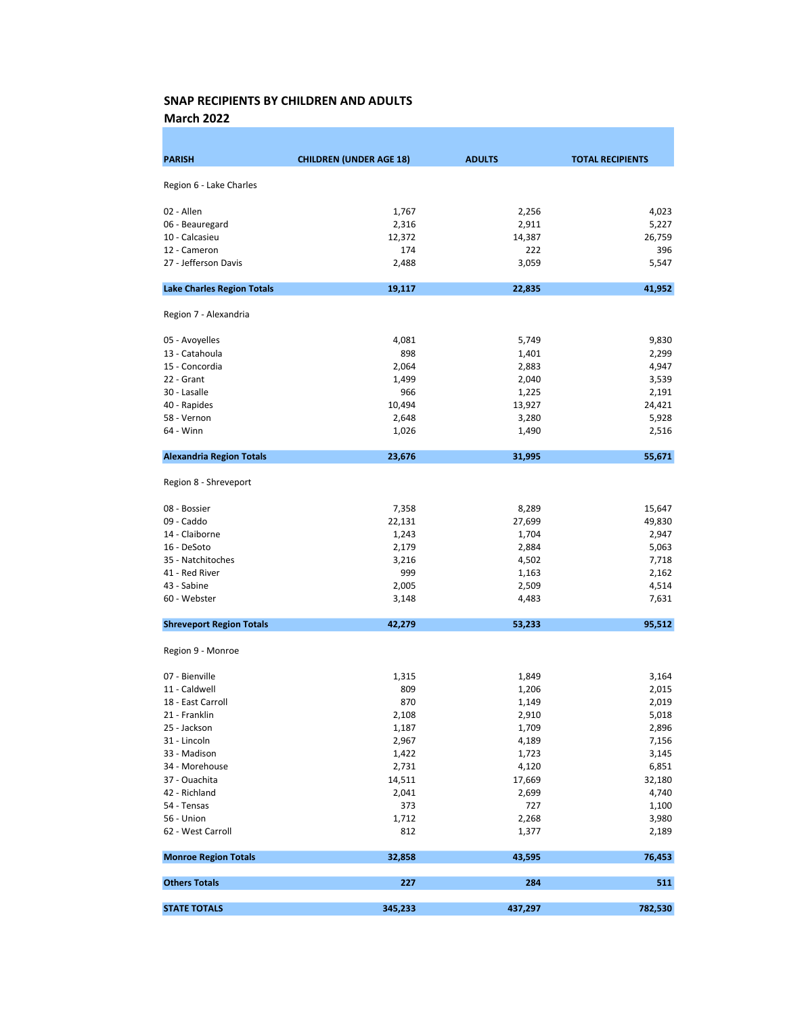March 2022

| <b>PARISH</b>                     | <b>CHILDREN (UNDER AGE 18)</b> | <b>ADULTS</b> | <b>TOTAL RECIPIENTS</b> |
|-----------------------------------|--------------------------------|---------------|-------------------------|
|                                   |                                |               |                         |
| Region 6 - Lake Charles           |                                |               |                         |
| 02 - Allen                        | 1,767                          | 2,256         | 4,023                   |
| 06 - Beauregard                   | 2,316                          | 2,911         | 5,227                   |
| 10 - Calcasieu                    | 12,372                         | 14,387        | 26,759                  |
| 12 - Cameron                      | 174                            | 222           | 396                     |
| 27 - Jefferson Davis              | 2,488                          | 3,059         | 5,547                   |
| <b>Lake Charles Region Totals</b> | 19,117                         | 22,835        | 41,952                  |
| Region 7 - Alexandria             |                                |               |                         |
| 05 - Avoyelles                    | 4,081                          | 5,749         | 9,830                   |
| 13 - Catahoula                    | 898                            | 1,401         | 2,299                   |
| 15 - Concordia                    | 2,064                          | 2,883         | 4,947                   |
| 22 - Grant                        | 1,499                          | 2,040         | 3,539                   |
| 30 - Lasalle                      | 966                            | 1,225         | 2,191                   |
| 40 - Rapides                      | 10,494                         | 13,927        | 24,421                  |
| 58 - Vernon                       | 2,648                          | 3,280         | 5,928                   |
| 64 - Winn                         | 1,026                          | 1,490         | 2,516                   |
| <b>Alexandria Region Totals</b>   | 23,676                         | 31,995        | 55,671                  |
| Region 8 - Shreveport             |                                |               |                         |
| 08 - Bossier                      | 7,358                          | 8,289         | 15,647                  |
| 09 - Caddo                        | 22,131                         | 27,699        | 49,830                  |
| 14 - Claiborne                    | 1,243                          | 1,704         | 2,947                   |
| 16 - DeSoto                       | 2,179                          | 2,884         | 5,063                   |
| 35 - Natchitoches                 | 3,216                          | 4,502         | 7,718                   |
| 41 - Red River                    | 999                            | 1,163         | 2,162                   |
| 43 - Sabine                       | 2,005                          | 2,509         | 4,514                   |
| 60 - Webster                      | 3,148                          | 4,483         | 7,631                   |
| <b>Shreveport Region Totals</b>   | 42,279                         | 53,233        | 95,512                  |
| Region 9 - Monroe                 |                                |               |                         |
| 07 - Bienville                    | 1,315                          | 1,849         | 3,164                   |
| 11 - Caldwell                     | 809                            | 1,206         | 2,015                   |
| 18 - East Carroll                 | 870                            | 1,149         | 2,019                   |
| 21 - Franklin                     | 2,108                          | 2,910         | 5,018                   |
| 25 - Jackson                      | 1,187                          | 1,709         | 2,896                   |
| 31 - Lincoln                      | 2,967                          | 4,189         | 7,156                   |
| 33 - Madison                      | 1,422                          | 1,723         | 3,145                   |
| 34 - Morehouse                    | 2,731                          | 4,120         | 6,851                   |
| 37 - Ouachita                     | 14,511                         | 17,669        | 32,180                  |
| 42 - Richland                     | 2,041                          | 2,699         | 4,740                   |
| 54 - Tensas                       | 373                            | 727           | 1,100                   |
| 56 - Union                        | 1,712                          | 2,268         | 3,980                   |
| 62 - West Carroll                 | 812                            | 1,377         | 2,189                   |
| <b>Monroe Region Totals</b>       | 32,858                         | 43,595        | 76,453                  |
| <b>Others Totals</b>              | 227                            | 284           | 511                     |
| <b>STATE TOTALS</b>               | 345,233                        | 437,297       | 782,530                 |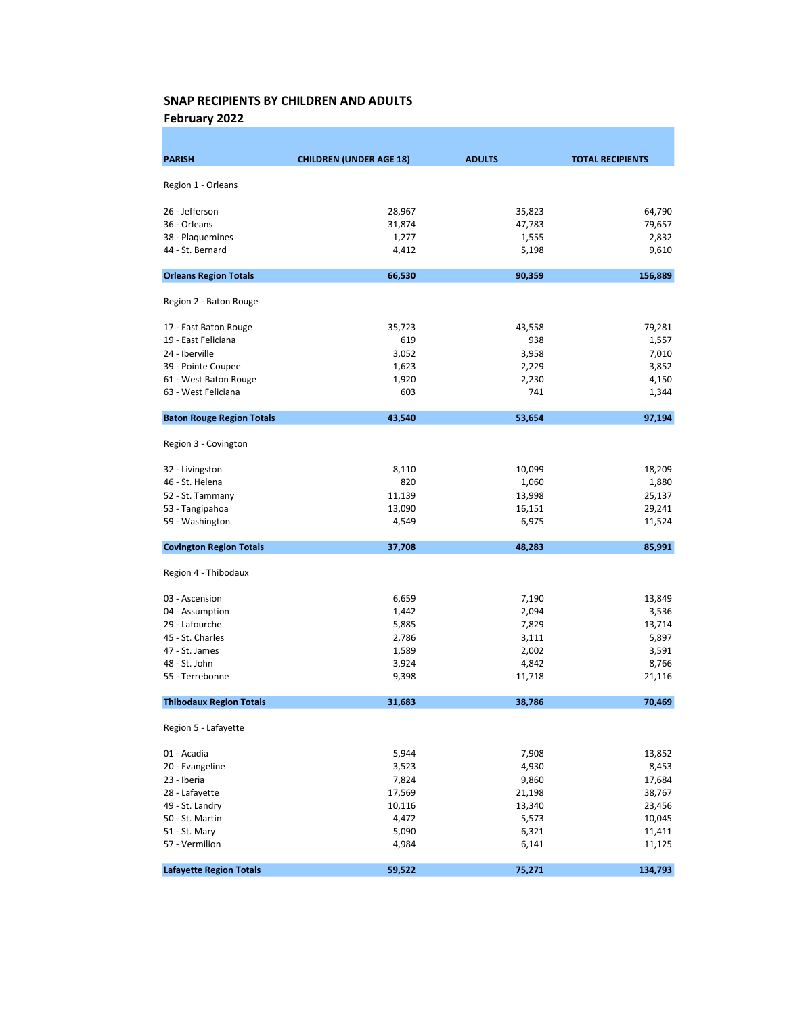February 2022

| <b>PARISH</b>                    | <b>CHILDREN (UNDER AGE 18)</b> | <b>ADULTS</b>   | <b>TOTAL RECIPIENTS</b> |
|----------------------------------|--------------------------------|-----------------|-------------------------|
| Region 1 - Orleans               |                                |                 |                         |
|                                  | 28,967                         |                 |                         |
| 26 - Jefferson                   |                                | 35,823          | 64,790                  |
| 36 - Orleans<br>38 - Plaquemines | 31,874<br>1,277                | 47,783<br>1,555 | 79,657<br>2,832         |
| 44 - St. Bernard                 | 4,412                          | 5,198           | 9,610                   |
|                                  |                                |                 |                         |
| <b>Orleans Region Totals</b>     | 66,530                         | 90,359          | 156,889                 |
| Region 2 - Baton Rouge           |                                |                 |                         |
| 17 - East Baton Rouge            | 35,723                         | 43,558          | 79,281                  |
| 19 - East Feliciana              | 619                            | 938             | 1,557                   |
| 24 - Iberville                   | 3,052                          | 3,958           | 7,010                   |
| 39 - Pointe Coupee               | 1,623                          | 2,229           | 3,852                   |
| 61 - West Baton Rouge            | 1,920                          | 2,230           | 4,150                   |
| 63 - West Feliciana              | 603                            | 741             | 1,344                   |
| <b>Baton Rouge Region Totals</b> | 43,540                         | 53,654          | 97,194                  |
| Region 3 - Covington             |                                |                 |                         |
| 32 - Livingston                  | 8,110                          | 10,099          | 18,209                  |
| 46 - St. Helena                  | 820                            | 1,060           | 1,880                   |
| 52 - St. Tammany                 | 11,139                         | 13,998          | 25,137                  |
| 53 - Tangipahoa                  | 13,090                         | 16,151          | 29,241                  |
| 59 - Washington                  | 4,549                          | 6,975           | 11,524                  |
| <b>Covington Region Totals</b>   | 37,708                         | 48,283          | 85,991                  |
| Region 4 - Thibodaux             |                                |                 |                         |
| 03 - Ascension                   | 6,659                          | 7,190           | 13,849                  |
| 04 - Assumption                  | 1,442                          | 2,094           | 3,536                   |
| 29 - Lafourche                   | 5,885                          | 7,829           | 13,714                  |
| 45 - St. Charles                 | 2,786                          | 3,111           | 5,897                   |
| 47 - St. James                   | 1,589                          | 2,002           | 3,591                   |
| 48 - St. John                    | 3,924                          | 4,842           | 8,766                   |
| 55 - Terrebonne                  | 9,398                          | 11,718          | 21,116                  |
| <b>Thibodaux Region Totals</b>   | 31,683                         | 38,786          | 70,469                  |
| Region 5 - Lafayette             |                                |                 |                         |
| 01 - Acadia                      | 5,944                          | 7,908           | 13,852                  |
| 20 - Evangeline                  | 3,523                          | 4,930           | 8,453                   |
| 23 - Iberia                      | 7,824                          | 9,860           | 17,684                  |
| 28 - Lafayette                   | 17,569                         | 21,198          | 38,767                  |
| 49 - St. Landry                  | 10,116                         | 13,340          | 23,456                  |
| 50 - St. Martin                  | 4,472                          | 5,573           | 10,045                  |
| 51 - St. Mary                    | 5,090                          | 6,321           | 11,411                  |
| 57 - Vermilion                   | 4,984                          | 6,141           | 11,125                  |
| <b>Lafayette Region Totals</b>   | 59,522                         | 75,271          | 134,793                 |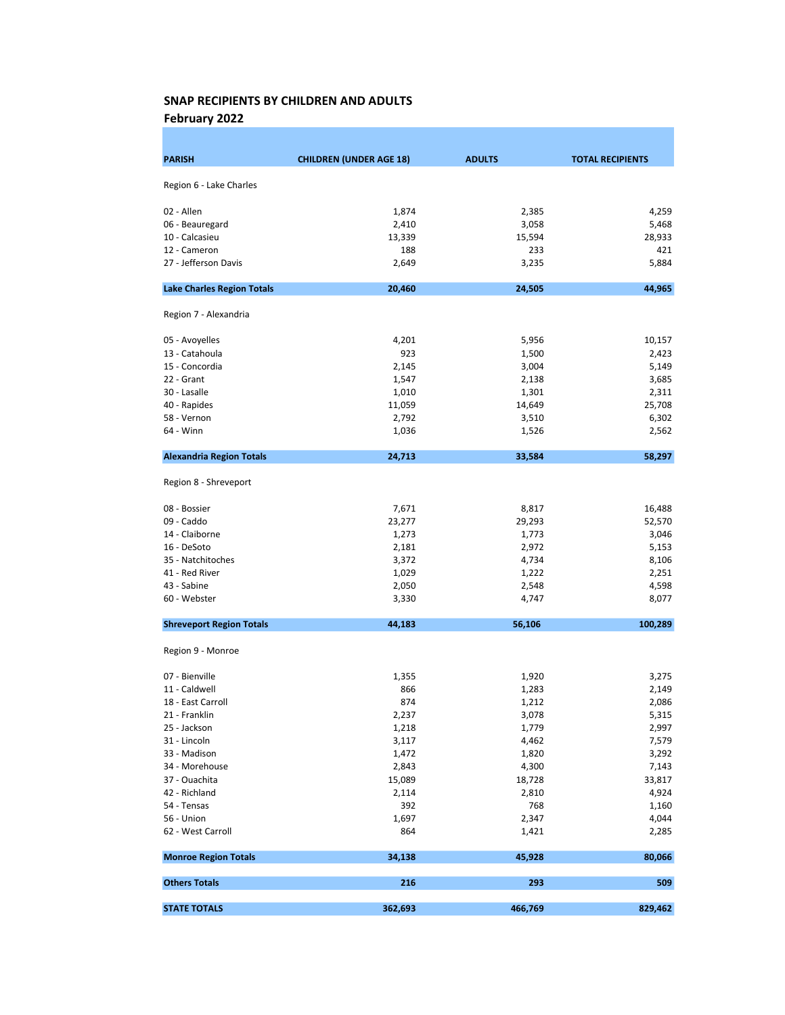February 2022

| <b>PARISH</b>                     | <b>CHILDREN (UNDER AGE 18)</b> | <b>ADULTS</b> | <b>TOTAL RECIPIENTS</b> |
|-----------------------------------|--------------------------------|---------------|-------------------------|
|                                   |                                |               |                         |
| Region 6 - Lake Charles           |                                |               |                         |
| 02 - Allen                        | 1,874                          | 2,385         | 4,259                   |
| 06 - Beauregard                   | 2,410                          | 3,058         | 5,468                   |
| 10 - Calcasieu                    | 13,339                         | 15,594        | 28,933                  |
| 12 - Cameron                      | 188                            | 233           | 421                     |
| 27 - Jefferson Davis              | 2,649                          | 3,235         | 5,884                   |
| <b>Lake Charles Region Totals</b> | 20,460                         | 24,505        | 44,965                  |
| Region 7 - Alexandria             |                                |               |                         |
| 05 - Avoyelles                    | 4,201                          | 5,956         | 10,157                  |
| 13 - Catahoula                    | 923                            | 1,500         | 2,423                   |
| 15 - Concordia                    | 2,145                          | 3,004         | 5,149                   |
| 22 - Grant                        | 1,547                          | 2,138         | 3,685                   |
| 30 - Lasalle                      | 1,010                          | 1,301         | 2,311                   |
| 40 - Rapides                      | 11,059                         | 14,649        | 25,708                  |
| 58 - Vernon                       | 2,792                          | 3,510         | 6,302                   |
| 64 - Winn                         | 1,036                          | 1,526         | 2,562                   |
| <b>Alexandria Region Totals</b>   | 24,713                         | 33,584        | 58,297                  |
| Region 8 - Shreveport             |                                |               |                         |
| 08 - Bossier                      | 7,671                          | 8,817         | 16,488                  |
| 09 - Caddo                        | 23,277                         | 29,293        | 52,570                  |
| 14 - Claiborne                    | 1,273                          | 1,773         | 3,046                   |
| 16 - DeSoto                       | 2,181                          | 2,972         | 5,153                   |
| 35 - Natchitoches                 | 3,372                          | 4,734         | 8,106                   |
| 41 - Red River                    | 1,029                          | 1,222         | 2,251                   |
| 43 - Sabine                       | 2,050                          | 2,548         | 4,598                   |
| 60 - Webster                      | 3,330                          | 4,747         | 8,077                   |
| <b>Shreveport Region Totals</b>   | 44,183                         | 56,106        | 100,289                 |
| Region 9 - Monroe                 |                                |               |                         |
| 07 - Bienville                    | 1,355                          | 1,920         | 3,275                   |
| 11 - Caldwell                     | 866                            | 1,283         | 2,149                   |
| 18 - East Carroll                 | 874                            | 1,212         | 2,086                   |
| 21 - Franklin                     | 2,237                          | 3,078         | 5,315                   |
| 25 - Jackson                      | 1,218                          | 1,779         | 2,997                   |
| 31 - Lincoln                      | 3,117                          | 4,462         | 7,579                   |
| 33 - Madison                      | 1,472                          | 1,820         | 3,292                   |
| 34 - Morehouse                    | 2,843                          | 4,300         | 7,143                   |
| 37 - Ouachita                     | 15,089                         | 18,728        | 33,817                  |
| 42 - Richland                     | 2,114                          | 2,810         | 4,924                   |
| 54 - Tensas                       | 392                            | 768           | 1,160                   |
| 56 - Union                        | 1,697                          | 2,347         | 4,044                   |
| 62 - West Carroll                 | 864                            | 1,421         | 2,285                   |
| <b>Monroe Region Totals</b>       | 34,138                         | 45,928        | 80,066                  |
| <b>Others Totals</b>              | 216                            | 293           | 509                     |
| <b>STATE TOTALS</b>               | 362,693                        | 466,769       | 829,462                 |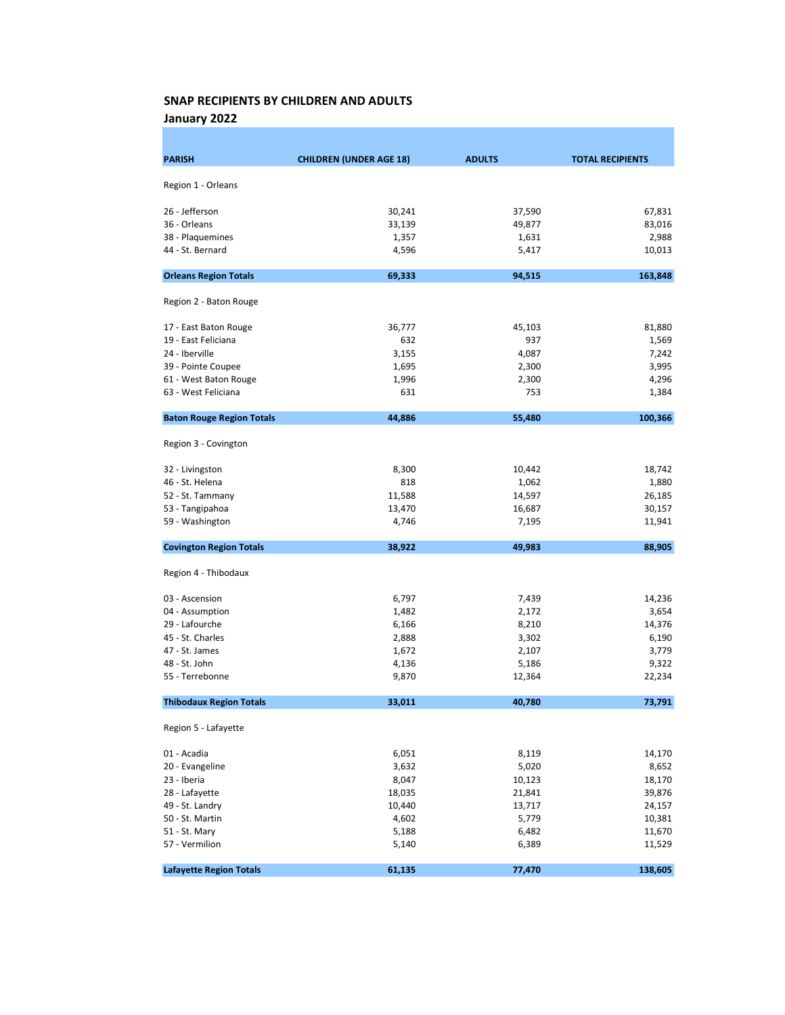January 2022

| <b>PARISH</b>                    | <b>CHILDREN (UNDER AGE 18)</b> | <b>ADULTS</b> | <b>TOTAL RECIPIENTS</b> |
|----------------------------------|--------------------------------|---------------|-------------------------|
| Region 1 - Orleans               |                                |               |                         |
|                                  |                                |               |                         |
| 26 - Jefferson                   | 30,241                         | 37,590        | 67,831                  |
| 36 - Orleans                     | 33,139                         | 49,877        | 83,016                  |
| 38 - Plaquemines                 | 1,357                          | 1,631         | 2,988                   |
| 44 - St. Bernard                 | 4,596                          | 5,417         | 10,013                  |
| <b>Orleans Region Totals</b>     | 69,333                         | 94,515        | 163,848                 |
| Region 2 - Baton Rouge           |                                |               |                         |
| 17 - East Baton Rouge            | 36,777                         | 45,103        | 81,880                  |
| 19 - East Feliciana              | 632                            | 937           | 1,569                   |
| 24 - Iberville                   | 3,155                          | 4,087         | 7,242                   |
| 39 - Pointe Coupee               | 1,695                          | 2,300         | 3,995                   |
| 61 - West Baton Rouge            | 1,996                          | 2,300         | 4,296                   |
| 63 - West Feliciana              | 631                            | 753           | 1,384                   |
| <b>Baton Rouge Region Totals</b> | 44,886                         | 55,480        | 100,366                 |
| Region 3 - Covington             |                                |               |                         |
| 32 - Livingston                  | 8,300                          | 10,442        | 18,742                  |
| 46 - St. Helena                  | 818                            | 1,062         | 1,880                   |
| 52 - St. Tammany                 | 11,588                         | 14,597        | 26,185                  |
| 53 - Tangipahoa                  | 13,470                         | 16,687        | 30,157                  |
| 59 - Washington                  | 4,746                          | 7,195         | 11,941                  |
| <b>Covington Region Totals</b>   | 38,922                         | 49,983        | 88,905                  |
| Region 4 - Thibodaux             |                                |               |                         |
| 03 - Ascension                   | 6,797                          | 7,439         | 14,236                  |
| 04 - Assumption                  | 1,482                          | 2,172         | 3,654                   |
| 29 - Lafourche                   | 6,166                          | 8,210         | 14,376                  |
| 45 - St. Charles                 | 2,888                          | 3,302         | 6,190                   |
| 47 - St. James                   | 1,672                          | 2,107         | 3,779                   |
| 48 - St. John                    | 4,136                          | 5,186         | 9,322                   |
| 55 - Terrebonne                  | 9,870                          | 12,364        | 22,234                  |
| <b>Thibodaux Region Totals</b>   | 33,011                         | 40,780        | 73,791                  |
| Region 5 - Lafayette             |                                |               |                         |
| 01 - Acadia                      | 6,051                          | 8,119         | 14,170                  |
| 20 - Evangeline                  | 3,632                          | 5,020         | 8,652                   |
| 23 - Iberia                      | 8,047                          | 10,123        | 18,170                  |
| 28 - Lafayette                   | 18,035                         | 21,841        | 39,876                  |
| 49 - St. Landry                  | 10,440                         | 13,717        | 24,157                  |
| 50 - St. Martin                  | 4,602                          | 5,779         | 10,381                  |
| 51 - St. Mary                    | 5,188                          | 6,482         | 11,670                  |
| 57 - Vermilion                   | 5,140                          | 6,389         | 11,529                  |
| <b>Lafayette Region Totals</b>   | 61,135                         | 77,470        | 138,605                 |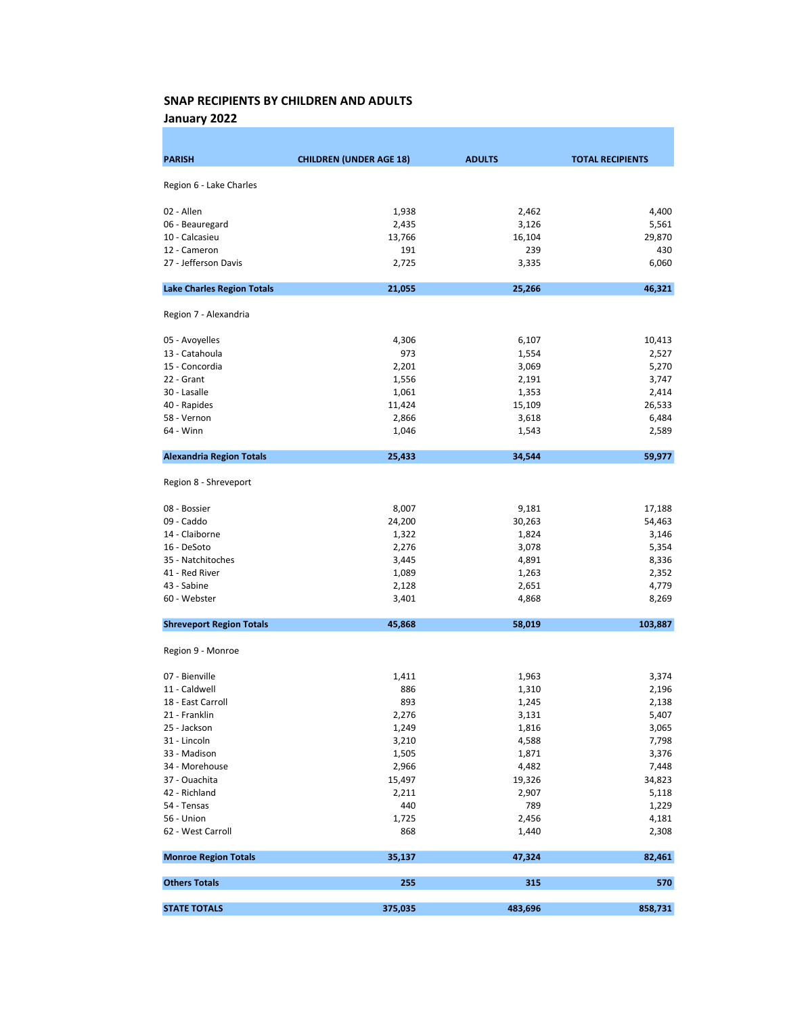January 2022

| <b>PARISH</b>                     | <b>CHILDREN (UNDER AGE 18)</b> | <b>ADULTS</b> | <b>TOTAL RECIPIENTS</b> |
|-----------------------------------|--------------------------------|---------------|-------------------------|
|                                   |                                |               |                         |
| Region 6 - Lake Charles           |                                |               |                         |
| 02 - Allen                        | 1,938                          | 2,462         | 4,400                   |
| 06 - Beauregard                   | 2,435                          | 3,126         | 5,561                   |
| 10 - Calcasieu                    | 13,766                         | 16,104        | 29,870                  |
| 12 - Cameron                      | 191                            | 239           | 430                     |
| 27 - Jefferson Davis              | 2,725                          | 3,335         | 6,060                   |
| <b>Lake Charles Region Totals</b> | 21,055                         | 25,266        | 46,321                  |
| Region 7 - Alexandria             |                                |               |                         |
| 05 - Avoyelles                    | 4,306                          | 6,107         | 10,413                  |
| 13 - Catahoula                    | 973                            | 1,554         | 2,527                   |
| 15 - Concordia                    | 2,201                          | 3,069         | 5,270                   |
| 22 - Grant                        | 1,556                          | 2,191         | 3,747                   |
| 30 - Lasalle                      | 1,061                          | 1,353         | 2,414                   |
| 40 - Rapides                      | 11,424                         | 15,109        | 26,533                  |
| 58 - Vernon                       | 2,866                          | 3,618         | 6,484                   |
| 64 - Winn                         | 1,046                          | 1,543         | 2,589                   |
| <b>Alexandria Region Totals</b>   | 25,433                         | 34,544        | 59,977                  |
| Region 8 - Shreveport             |                                |               |                         |
| 08 - Bossier                      | 8,007                          | 9,181         | 17,188                  |
| 09 - Caddo                        | 24,200                         | 30,263        | 54,463                  |
| 14 - Claiborne                    | 1,322                          | 1,824         | 3,146                   |
| 16 - DeSoto                       | 2,276                          | 3,078         | 5,354                   |
| 35 - Natchitoches                 | 3,445                          | 4,891         | 8,336                   |
| 41 - Red River                    | 1,089                          | 1,263         | 2,352                   |
| 43 - Sabine                       | 2,128                          | 2,651         | 4,779                   |
| 60 - Webster                      | 3,401                          | 4,868         | 8,269                   |
| <b>Shreveport Region Totals</b>   | 45,868                         | 58,019        | 103,887                 |
| Region 9 - Monroe                 |                                |               |                         |
| 07 - Bienville                    | 1,411                          | 1,963         | 3,374                   |
| 11 - Caldwell                     | 886                            | 1,310         | 2,196                   |
| 18 - East Carroll                 | 893                            | 1,245         | 2,138                   |
| 21 - Franklin                     | 2,276                          | 3,131         | 5,407                   |
| 25 - Jackson                      | 1,249                          | 1,816         | 3,065                   |
| 31 - Lincoln                      | 3,210                          | 4,588         | 7,798                   |
| 33 - Madison                      | 1,505                          | 1,871         | 3,376                   |
| 34 - Morehouse                    | 2,966                          | 4,482         | 7,448                   |
| 37 - Ouachita                     | 15,497                         | 19,326        | 34,823                  |
| 42 - Richland                     | 2,211                          | 2,907         | 5,118                   |
| 54 - Tensas                       | 440                            | 789           | 1,229                   |
| 56 - Union                        | 1,725                          | 2,456         | 4,181                   |
| 62 - West Carroll                 | 868                            | 1,440         | 2,308                   |
| <b>Monroe Region Totals</b>       | 35,137                         | 47,324        | 82,461                  |
| <b>Others Totals</b>              | 255                            | 315           | 570                     |
| <b>STATE TOTALS</b>               | 375,035                        | 483,696       | 858,731                 |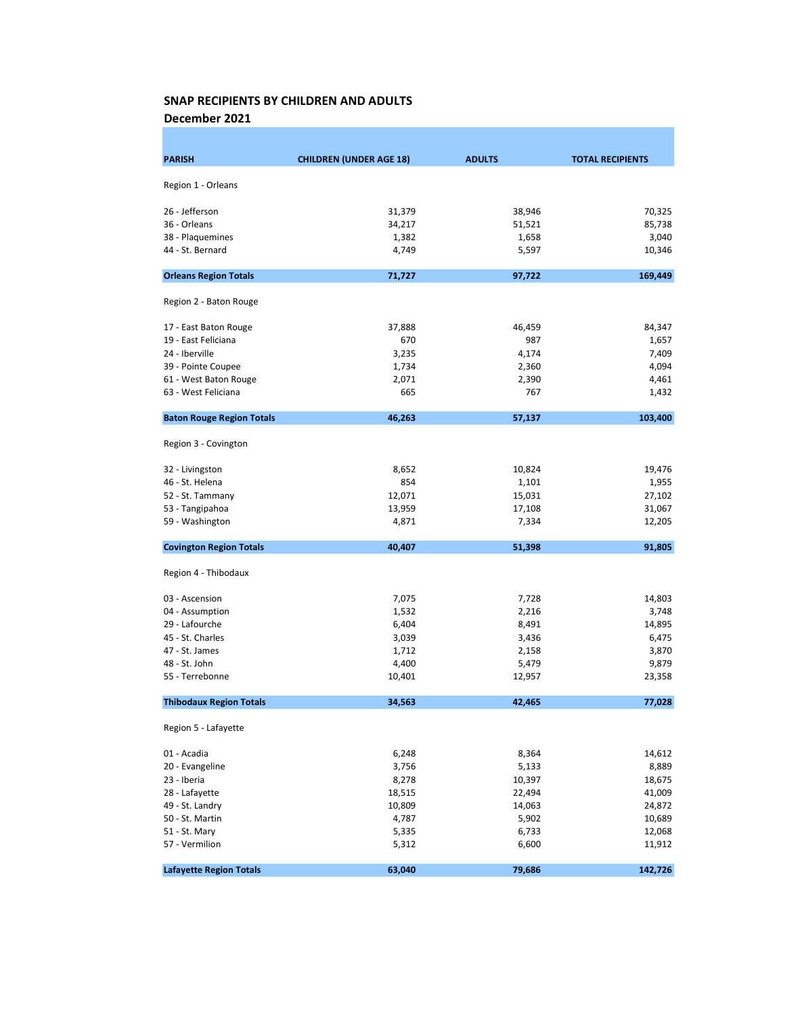December 2021

| <b>PARISH</b>                    | <b>CHILDREN (UNDER AGE 18)</b> | <b>ADULTS</b> | <b>TOTAL RECIPIENTS</b> |
|----------------------------------|--------------------------------|---------------|-------------------------|
|                                  |                                |               |                         |
| Region 1 - Orleans               |                                |               |                         |
| 26 - Jefferson                   | 31,379                         | 38,946        | 70,325                  |
| 36 - Orleans                     | 34,217                         | 51,521        | 85,738                  |
| 38 - Plaquemines                 | 1,382                          | 1,658         | 3,040                   |
| 44 - St. Bernard                 | 4,749                          | 5,597         | 10,346                  |
|                                  |                                |               |                         |
| <b>Orleans Region Totals</b>     | 71,727                         | 97,722        | 169,449                 |
| Region 2 - Baton Rouge           |                                |               |                         |
| 17 - East Baton Rouge            | 37,888                         | 46,459        | 84,347                  |
| 19 - East Feliciana              | 670                            | 987           | 1,657                   |
| 24 - Iberville                   | 3,235                          | 4,174         | 7,409                   |
| 39 - Pointe Coupee               | 1,734                          | 2,360         | 4,094                   |
| 61 - West Baton Rouge            | 2,071                          | 2,390         | 4,461                   |
| 63 - West Feliciana              | 665                            | 767           | 1,432                   |
| <b>Baton Rouge Region Totals</b> | 46,263                         | 57,137        | 103,400                 |
| Region 3 - Covington             |                                |               |                         |
| 32 - Livingston                  | 8,652                          | 10,824        | 19,476                  |
| 46 - St. Helena                  | 854                            | 1,101         | 1,955                   |
| 52 - St. Tammany                 | 12,071                         | 15,031        | 27,102                  |
| 53 - Tangipahoa                  | 13,959                         | 17,108        | 31,067                  |
| 59 - Washington                  | 4,871                          | 7,334         | 12,205                  |
| <b>Covington Region Totals</b>   | 40,407                         | 51,398        | 91,805                  |
| Region 4 - Thibodaux             |                                |               |                         |
| 03 - Ascension                   | 7,075                          | 7,728         | 14,803                  |
| 04 - Assumption                  | 1,532                          | 2,216         | 3,748                   |
| 29 - Lafourche                   | 6,404                          | 8,491         | 14,895                  |
| 45 - St. Charles                 | 3,039                          | 3,436         | 6,475                   |
| 47 - St. James                   | 1,712                          | 2,158         | 3,870                   |
| 48 - St. John                    | 4,400                          | 5,479         | 9,879                   |
| 55 - Terrebonne                  | 10,401                         | 12,957        | 23,358                  |
| <b>Thibodaux Region Totals</b>   | 34,563                         | 42,465        | 77,028                  |
| Region 5 - Lafayette             |                                |               |                         |
| 01 - Acadia                      | 6,248                          | 8,364         | 14,612                  |
| 20 - Evangeline                  | 3,756                          | 5,133         | 8,889                   |
| 23 - Iberia                      | 8,278                          | 10,397        | 18,675                  |
| 28 - Lafayette                   | 18,515                         | 22,494        | 41,009                  |
| 49 - St. Landry                  | 10,809                         | 14,063        | 24,872                  |
| 50 - St. Martin                  | 4,787                          | 5,902         | 10,689                  |
| 51 - St. Mary                    | 5,335                          | 6,733         | 12,068                  |
| 57 - Vermilion                   | 5,312                          | 6,600         | 11,912                  |
| <b>Lafayette Region Totals</b>   | 63,040                         | 79,686        | 142,726                 |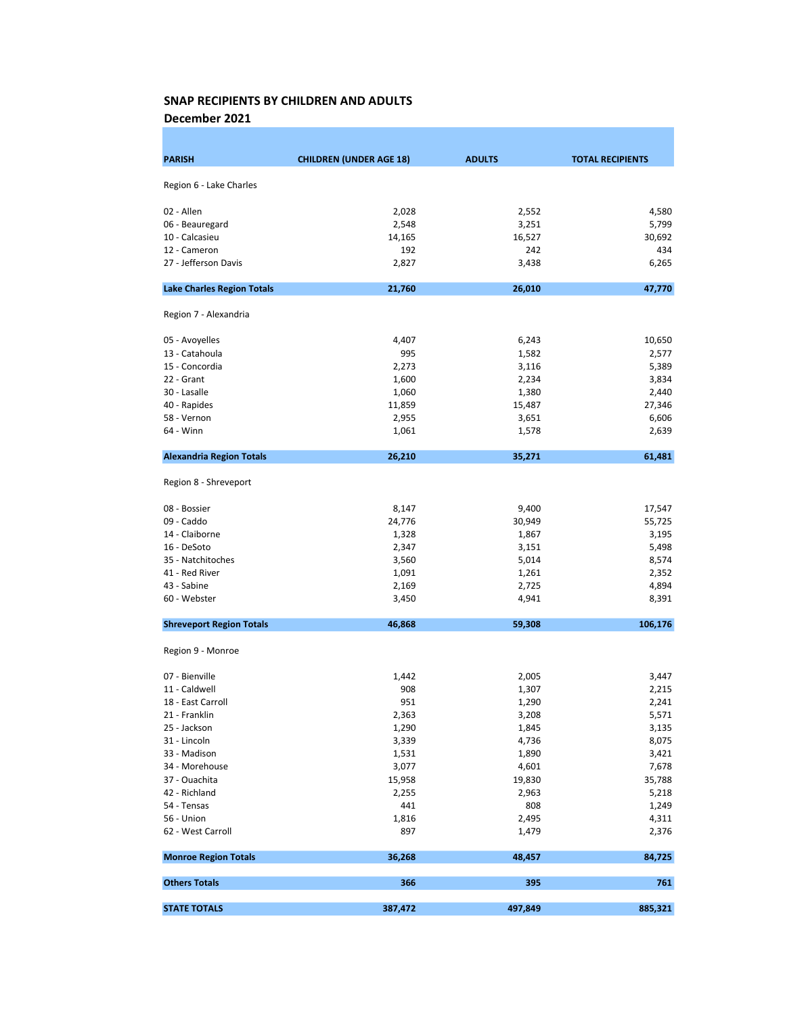December 2021

| <b>PARISH</b>                     | <b>CHILDREN (UNDER AGE 18)</b> | <b>ADULTS</b> | <b>TOTAL RECIPIENTS</b> |
|-----------------------------------|--------------------------------|---------------|-------------------------|
|                                   |                                |               |                         |
| Region 6 - Lake Charles           |                                |               |                         |
| 02 - Allen                        | 2,028                          | 2,552         | 4,580                   |
| 06 - Beauregard                   | 2,548                          | 3,251         | 5,799                   |
| 10 - Calcasieu                    | 14,165                         | 16,527        | 30,692                  |
| 12 - Cameron                      | 192                            | 242           | 434                     |
| 27 - Jefferson Davis              | 2,827                          | 3,438         | 6,265                   |
| <b>Lake Charles Region Totals</b> | 21,760                         | 26,010        | 47,770                  |
| Region 7 - Alexandria             |                                |               |                         |
| 05 - Avoyelles                    | 4,407                          | 6,243         | 10,650                  |
| 13 - Catahoula                    | 995                            | 1,582         | 2,577                   |
| 15 - Concordia                    | 2,273                          | 3,116         | 5,389                   |
| 22 - Grant                        | 1,600                          | 2,234         | 3,834                   |
| 30 - Lasalle                      | 1,060                          | 1,380         | 2,440                   |
| 40 - Rapides                      | 11,859                         | 15,487        | 27,346                  |
| 58 - Vernon                       | 2,955                          | 3,651         | 6,606                   |
| 64 - Winn                         | 1,061                          | 1,578         | 2,639                   |
| <b>Alexandria Region Totals</b>   | 26,210                         | 35,271        | 61,481                  |
| Region 8 - Shreveport             |                                |               |                         |
| 08 - Bossier                      | 8,147                          | 9,400         | 17,547                  |
| 09 - Caddo                        | 24,776                         | 30,949        | 55,725                  |
| 14 - Claiborne                    | 1,328                          | 1,867         | 3,195                   |
| 16 - DeSoto                       | 2,347                          | 3,151         | 5,498                   |
| 35 - Natchitoches                 | 3,560                          | 5,014         | 8,574                   |
| 41 - Red River                    | 1,091                          | 1,261         | 2,352                   |
| 43 - Sabine                       | 2,169                          | 2,725         | 4,894                   |
| 60 - Webster                      | 3,450                          | 4,941         | 8,391                   |
| <b>Shreveport Region Totals</b>   | 46,868                         | 59,308        | 106,176                 |
| Region 9 - Monroe                 |                                |               |                         |
| 07 - Bienville                    | 1,442                          | 2,005         | 3,447                   |
| 11 - Caldwell                     | 908                            | 1,307         | 2,215                   |
| 18 - East Carroll                 | 951                            | 1,290         | 2,241                   |
| 21 - Franklin                     | 2,363                          | 3,208         | 5,571                   |
| 25 - Jackson                      | 1,290                          | 1,845         | 3,135                   |
| 31 - Lincoln                      | 3,339                          | 4,736         | 8,075                   |
| 33 - Madison                      | 1,531                          | 1,890         | 3,421                   |
| 34 - Morehouse                    | 3,077                          | 4,601         | 7,678                   |
| 37 - Ouachita                     | 15,958                         | 19,830        | 35,788                  |
| 42 - Richland                     | 2,255                          | 2,963         | 5,218                   |
| 54 - Tensas                       | 441                            | 808           | 1,249                   |
| 56 - Union                        | 1,816                          | 2,495         | 4,311                   |
| 62 - West Carroll                 | 897                            | 1,479         | 2,376                   |
| <b>Monroe Region Totals</b>       | 36,268                         | 48,457        | 84,725                  |
| <b>Others Totals</b>              | 366                            | 395           | 761                     |
| <b>STATE TOTALS</b>               | 387,472                        | 497,849       | 885,321                 |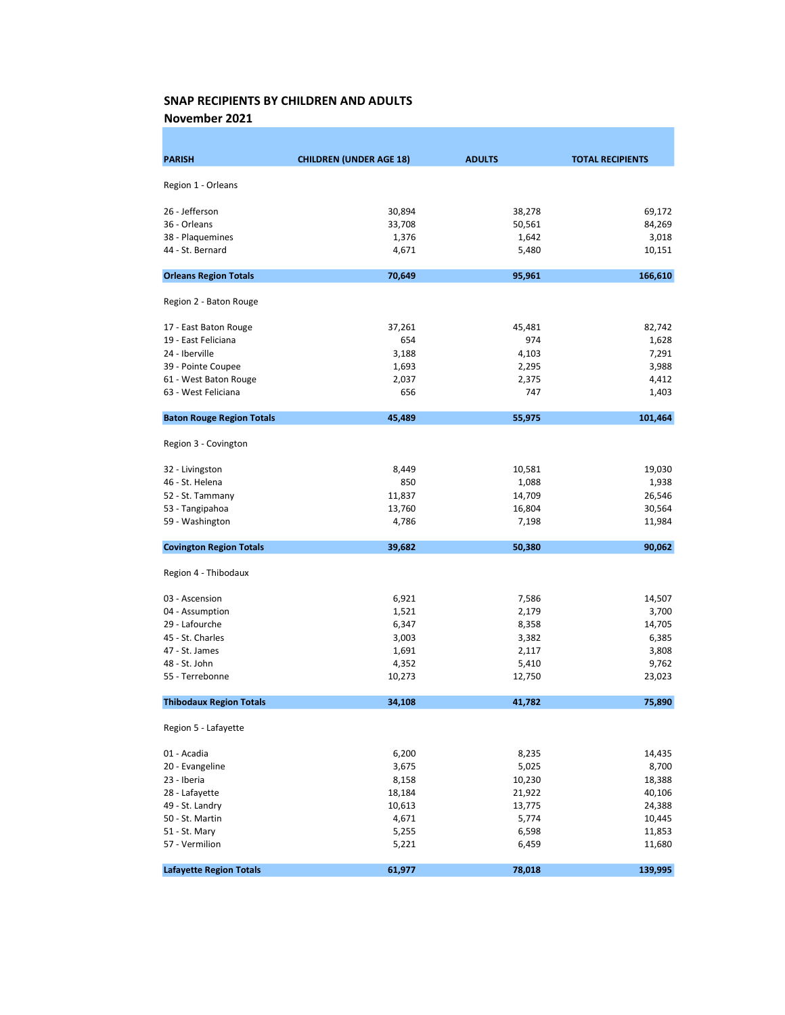November 2021

| <b>PARISH</b>                    | <b>CHILDREN (UNDER AGE 18)</b> | <b>ADULTS</b> | <b>TOTAL RECIPIENTS</b> |
|----------------------------------|--------------------------------|---------------|-------------------------|
|                                  |                                |               |                         |
| Region 1 - Orleans               |                                |               |                         |
| 26 - Jefferson                   | 30,894                         | 38,278        | 69,172                  |
| 36 - Orleans                     | 33,708                         | 50,561        | 84,269                  |
| 38 - Plaquemines                 | 1,376                          | 1,642         | 3,018                   |
| 44 - St. Bernard                 | 4,671                          | 5,480         | 10,151                  |
| <b>Orleans Region Totals</b>     | 70,649                         | 95,961        | 166,610                 |
| Region 2 - Baton Rouge           |                                |               |                         |
| 17 - East Baton Rouge            | 37,261                         | 45,481        | 82,742                  |
| 19 - East Feliciana              | 654                            | 974           | 1,628                   |
| 24 - Iberville                   | 3,188                          | 4,103         | 7,291                   |
| 39 - Pointe Coupee               | 1,693                          | 2,295         | 3,988                   |
| 61 - West Baton Rouge            | 2,037                          | 2,375         | 4,412                   |
| 63 - West Feliciana              | 656                            | 747           | 1,403                   |
| <b>Baton Rouge Region Totals</b> | 45,489                         | 55,975        | 101,464                 |
| Region 3 - Covington             |                                |               |                         |
|                                  |                                |               |                         |
| 32 - Livingston                  | 8,449                          | 10,581        | 19,030                  |
| 46 - St. Helena                  | 850                            | 1,088         | 1,938                   |
| 52 - St. Tammany                 | 11,837                         | 14,709        | 26,546                  |
| 53 - Tangipahoa                  | 13,760                         | 16,804        | 30,564                  |
| 59 - Washington                  | 4,786                          | 7,198         | 11,984                  |
| <b>Covington Region Totals</b>   | 39,682                         | 50,380        | 90,062                  |
| Region 4 - Thibodaux             |                                |               |                         |
| 03 - Ascension                   | 6,921                          | 7,586         | 14,507                  |
| 04 - Assumption                  | 1,521                          | 2,179         | 3,700                   |
| 29 - Lafourche                   | 6,347                          | 8,358         | 14,705                  |
| 45 - St. Charles                 | 3,003                          | 3,382         | 6,385                   |
| 47 - St. James                   | 1,691                          | 2,117         | 3,808                   |
| 48 - St. John                    | 4,352                          | 5,410         | 9,762                   |
| 55 - Terrebonne                  | 10,273                         | 12,750        | 23,023                  |
| <b>Thibodaux Region Totals</b>   | 34,108                         | 41,782        | 75,890                  |
| Region 5 - Lafayette             |                                |               |                         |
| 01 - Acadia                      | 6,200                          | 8,235         | 14,435                  |
| 20 - Evangeline                  | 3,675                          | 5,025         | 8,700                   |
| 23 - Iberia                      | 8,158                          | 10,230        | 18,388                  |
| 28 - Lafayette                   | 18,184                         | 21,922        | 40,106                  |
| 49 - St. Landry                  | 10,613                         | 13,775        | 24,388                  |
| 50 - St. Martin                  | 4,671                          | 5,774         | 10,445                  |
| 51 - St. Mary                    | 5,255                          | 6,598         | 11,853                  |
| 57 - Vermilion                   | 5,221                          | 6,459         | 11,680                  |
| <b>Lafayette Region Totals</b>   | 61,977                         | 78,018        | 139,995                 |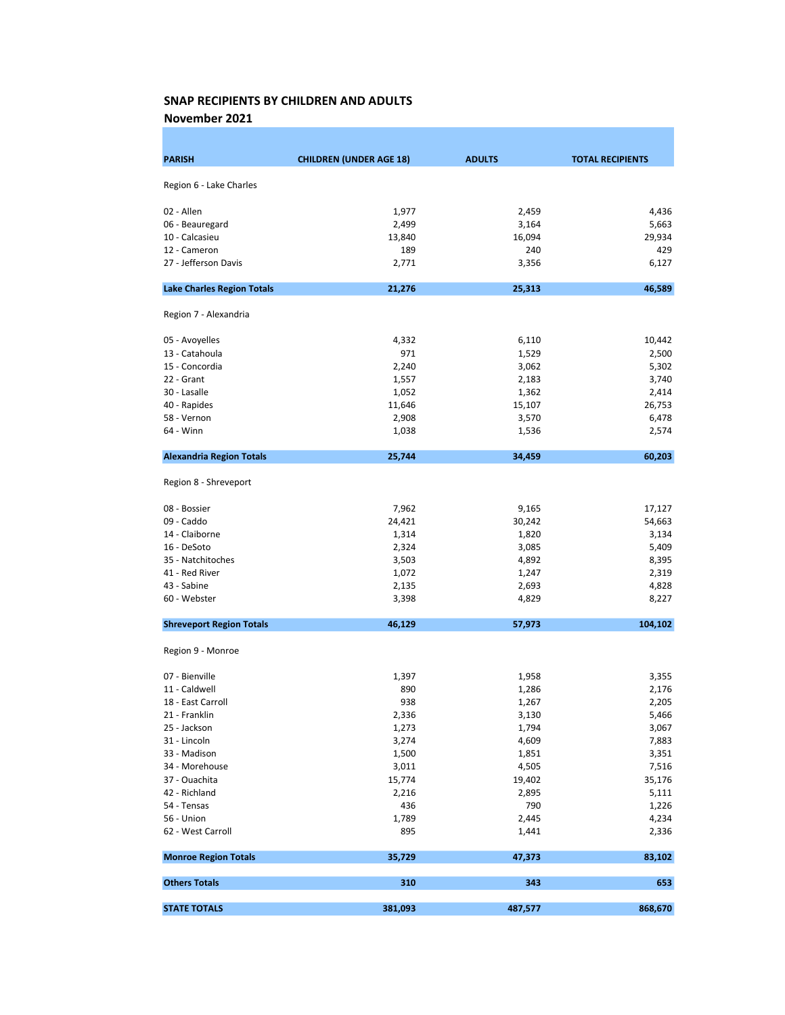November 2021

| <b>PARISH</b>                     | <b>CHILDREN (UNDER AGE 18)</b> | <b>ADULTS</b> | <b>TOTAL RECIPIENTS</b> |
|-----------------------------------|--------------------------------|---------------|-------------------------|
|                                   |                                |               |                         |
| Region 6 - Lake Charles           |                                |               |                         |
| 02 - Allen                        | 1,977                          | 2,459         | 4,436                   |
| 06 - Beauregard                   | 2,499                          | 3,164         | 5,663                   |
| 10 - Calcasieu                    | 13,840                         | 16,094        | 29,934                  |
| 12 - Cameron                      | 189                            | 240           | 429                     |
| 27 - Jefferson Davis              | 2,771                          | 3,356         | 6,127                   |
| <b>Lake Charles Region Totals</b> | 21,276                         | 25,313        | 46,589                  |
|                                   |                                |               |                         |
| Region 7 - Alexandria             |                                |               |                         |
| 05 - Avoyelles                    | 4,332                          | 6,110         | 10,442                  |
| 13 - Catahoula                    | 971                            | 1,529         | 2,500                   |
| 15 - Concordia                    | 2,240                          | 3,062         | 5,302                   |
| 22 - Grant                        | 1,557                          | 2,183         | 3,740                   |
| 30 - Lasalle                      | 1,052                          | 1,362         | 2,414                   |
| 40 - Rapides                      | 11,646                         | 15,107        | 26,753                  |
| 58 - Vernon                       | 2,908                          | 3,570         | 6,478                   |
| 64 - Winn                         | 1,038                          | 1,536         | 2,574                   |
| <b>Alexandria Region Totals</b>   | 25,744                         | 34,459        | 60,203                  |
| Region 8 - Shreveport             |                                |               |                         |
| 08 - Bossier                      | 7,962                          | 9,165         | 17,127                  |
| 09 - Caddo                        | 24,421                         | 30,242        | 54,663                  |
| 14 - Claiborne                    | 1,314                          | 1,820         | 3,134                   |
| 16 - DeSoto                       | 2,324                          | 3,085         | 5,409                   |
| 35 - Natchitoches                 | 3,503                          | 4,892         | 8,395                   |
| 41 - Red River                    | 1,072                          | 1,247         | 2,319                   |
| 43 - Sabine                       | 2,135                          | 2,693         | 4,828                   |
| 60 - Webster                      | 3,398                          | 4,829         | 8,227                   |
| <b>Shreveport Region Totals</b>   | 46,129                         | 57,973        | 104,102                 |
|                                   |                                |               |                         |
| Region 9 - Monroe                 |                                |               |                         |
| 07 - Bienville                    | 1,397                          | 1,958         | 3,355                   |
| 11 - Caldwell                     | 890                            | 1,286         | 2,176                   |
| 18 - East Carroll                 | 938                            | 1,267         | 2,205                   |
| 21 - Franklin                     | 2,336                          | 3,130         | 5,466                   |
| 25 - Jackson                      | 1,273                          | 1,794         | 3,067                   |
| 31 - Lincoln                      | 3,274                          | 4,609         | 7,883                   |
| 33 - Madison                      | 1,500                          | 1,851         | 3,351                   |
| 34 - Morehouse                    | 3,011                          | 4,505         | 7,516                   |
| 37 - Ouachita                     | 15,774                         | 19,402        | 35,176                  |
| 42 - Richland                     | 2,216                          | 2,895         | 5,111                   |
| 54 - Tensas                       | 436                            | 790           | 1,226                   |
| 56 - Union                        | 1,789                          | 2,445         | 4,234                   |
| 62 - West Carroll                 | 895                            | 1,441         | 2,336                   |
| <b>Monroe Region Totals</b>       | 35,729                         | 47,373        | 83,102                  |
| <b>Others Totals</b>              | 310                            | 343           | 653                     |
| <b>STATE TOTALS</b>               | 381,093                        | 487,577       | 868,670                 |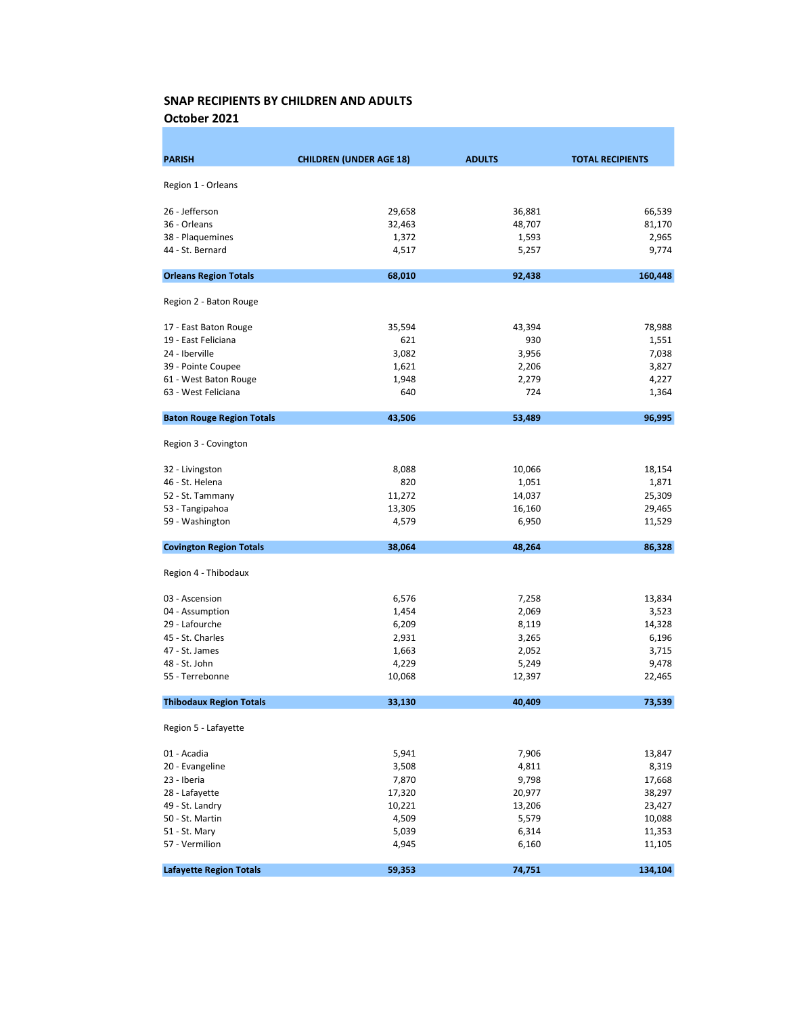October 2021

| <b>PARISH</b>                    | <b>CHILDREN (UNDER AGE 18)</b> | <b>ADULTS</b> | <b>TOTAL RECIPIENTS</b> |
|----------------------------------|--------------------------------|---------------|-------------------------|
|                                  |                                |               |                         |
| Region 1 - Orleans               |                                |               |                         |
| 26 - Jefferson                   | 29,658                         | 36,881        | 66,539                  |
| 36 - Orleans                     | 32,463                         | 48,707        | 81,170                  |
| 38 - Plaquemines                 | 1,372                          | 1,593         | 2,965                   |
| 44 - St. Bernard                 | 4,517                          | 5,257         | 9,774                   |
| <b>Orleans Region Totals</b>     | 68,010                         | 92,438        | 160,448                 |
| Region 2 - Baton Rouge           |                                |               |                         |
| 17 - East Baton Rouge            | 35,594                         | 43,394        | 78,988                  |
| 19 - East Feliciana              | 621                            | 930           | 1,551                   |
| 24 - Iberville                   | 3,082                          | 3,956         | 7,038                   |
| 39 - Pointe Coupee               | 1,621                          | 2,206         | 3,827                   |
| 61 - West Baton Rouge            | 1,948                          | 2,279         | 4,227                   |
| 63 - West Feliciana              | 640                            | 724           | 1,364                   |
| <b>Baton Rouge Region Totals</b> | 43,506                         | 53,489        | 96,995                  |
| Region 3 - Covington             |                                |               |                         |
| 32 - Livingston                  | 8,088                          | 10,066        | 18,154                  |
| 46 - St. Helena                  | 820                            | 1,051         | 1,871                   |
| 52 - St. Tammany                 | 11,272                         | 14,037        | 25,309                  |
| 53 - Tangipahoa                  | 13,305                         | 16,160        | 29,465                  |
| 59 - Washington                  | 4,579                          | 6,950         | 11,529                  |
| <b>Covington Region Totals</b>   | 38,064                         | 48,264        | 86,328                  |
| Region 4 - Thibodaux             |                                |               |                         |
| 03 - Ascension                   | 6,576                          | 7,258         | 13,834                  |
| 04 - Assumption                  | 1,454                          | 2,069         | 3,523                   |
| 29 - Lafourche                   | 6,209                          | 8,119         | 14,328                  |
| 45 - St. Charles                 | 2,931                          | 3,265         | 6,196                   |
| 47 - St. James                   | 1,663                          | 2,052         | 3,715                   |
| 48 - St. John                    | 4,229                          | 5,249         | 9,478                   |
| 55 - Terrebonne                  | 10,068                         | 12,397        | 22,465                  |
| <b>Thibodaux Region Totals</b>   | 33,130                         | 40,409        | 73,539                  |
| Region 5 - Lafayette             |                                |               |                         |
| 01 - Acadia                      | 5,941                          | 7,906         | 13,847                  |
| 20 - Evangeline                  | 3,508                          | 4,811         | 8,319                   |
| 23 - Iberia                      | 7,870                          | 9,798         | 17,668                  |
| 28 - Lafayette                   | 17,320                         | 20,977        | 38,297                  |
| 49 - St. Landry                  | 10,221                         | 13,206        | 23,427                  |
| 50 - St. Martin                  | 4,509                          | 5,579         | 10,088                  |
| 51 - St. Mary                    | 5,039                          | 6,314         | 11,353                  |
| 57 - Vermilion                   | 4,945                          | 6,160         | 11,105                  |
| <b>Lafayette Region Totals</b>   | 59,353                         | 74,751        | 134,104                 |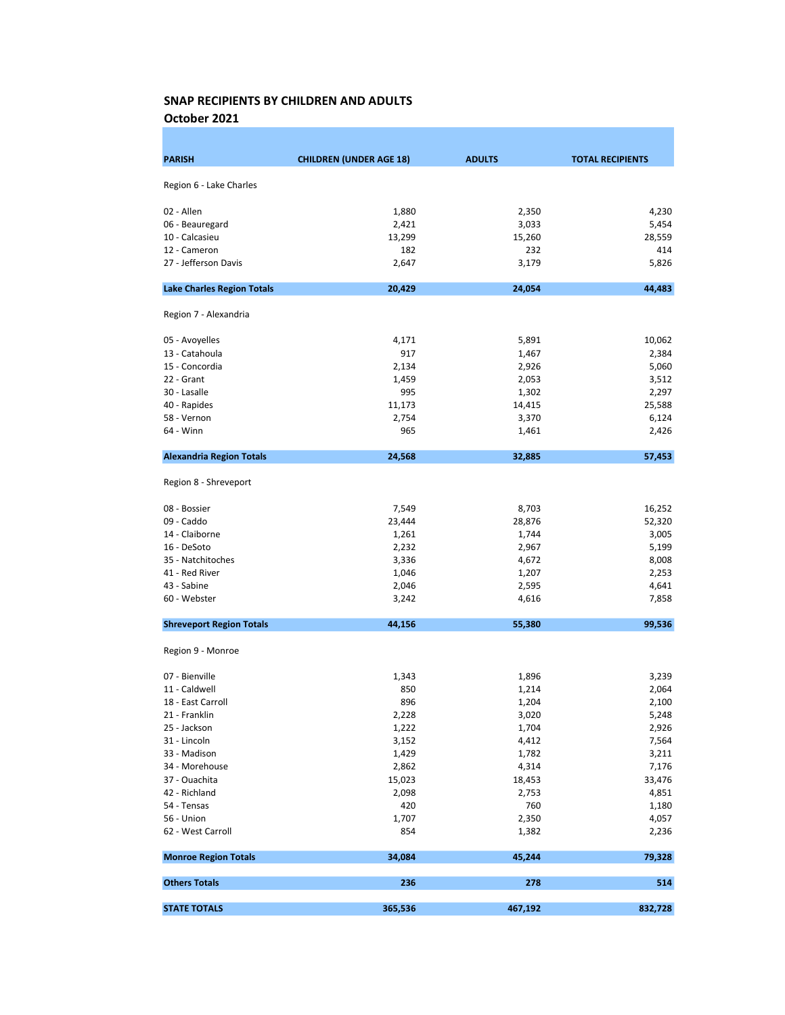October 2021

| Region 6 - Lake Charles<br>02 - Allen<br>1,880<br>4,230<br>2,350<br>5,454<br>06 - Beauregard<br>2,421<br>3,033<br>28,559<br>10 - Calcasieu<br>13,299<br>15,260<br>12 - Cameron<br>182<br>232<br>414<br>27 - Jefferson Davis<br>2,647<br>3,179<br>5,826<br><b>Lake Charles Region Totals</b><br>20,429<br>24,054<br>44,483<br>Region 7 - Alexandria<br>10,062<br>05 - Avoyelles<br>4,171<br>5,891<br>917<br>13 - Catahoula<br>1,467<br>2,384<br>15 - Concordia<br>2,134<br>5,060<br>2,926<br>22 - Grant<br>1,459<br>2,053<br>3,512<br>2,297<br>30 - Lasalle<br>995<br>1,302<br>40 - Rapides<br>11,173<br>25,588<br>14,415<br>58 - Vernon<br>2,754<br>3,370<br>6,124<br>64 - Winn<br>965<br>2,426<br>1,461<br>57,453<br><b>Alexandria Region Totals</b><br>24,568<br>32,885<br>Region 8 - Shreveport<br>08 - Bossier<br>7,549<br>8,703<br>16,252<br>09 - Caddo<br>23,444<br>52,320<br>28,876<br>14 - Claiborne<br>1,261<br>1,744<br>3,005<br>5,199<br>16 - DeSoto<br>2,232<br>2,967<br>8,008<br>35 - Natchitoches<br>3,336<br>4,672<br>41 - Red River<br>1,046<br>1,207<br>2,253<br>43 - Sabine<br>2,046<br>2,595<br>4,641<br>60 - Webster<br>3,242<br>4,616<br>7,858<br>44,156<br>99,536<br><b>Shreveport Region Totals</b><br>55,380<br>Region 9 - Monroe<br>07 - Bienville<br>1,343<br>3,239<br>1,896<br>850<br>11 - Caldwell<br>1,214<br>2,064<br>896<br>2,100<br>18 - East Carroll<br>1,204<br>5,248<br>21 - Franklin<br>2,228<br>3,020<br>25 - Jackson<br>1,222<br>1,704<br>2,926<br>31 - Lincoln<br>3,152<br>4,412<br>7,564<br>33 - Madison<br>1,429<br>1,782<br>3,211<br>34 - Morehouse<br>7,176<br>2,862<br>4,314<br>37 - Ouachita<br>15,023<br>18,453<br>33,476<br>42 - Richland<br>4,851<br>2,098<br>2,753<br>54 - Tensas<br>760<br>420<br>1,180<br>56 - Union<br>1,707<br>2,350<br>4,057<br>62 - West Carroll<br>854<br>1,382<br>2,236<br><b>Monroe Region Totals</b><br>34,084<br>45,244<br>79,328<br><b>Others Totals</b><br>236<br>278<br>514<br>365,536<br>467,192<br>832,728<br><b>STATE TOTALS</b> | <b>PARISH</b> | <b>CHILDREN (UNDER AGE 18)</b> | <b>ADULTS</b> | <b>TOTAL RECIPIENTS</b> |
|--------------------------------------------------------------------------------------------------------------------------------------------------------------------------------------------------------------------------------------------------------------------------------------------------------------------------------------------------------------------------------------------------------------------------------------------------------------------------------------------------------------------------------------------------------------------------------------------------------------------------------------------------------------------------------------------------------------------------------------------------------------------------------------------------------------------------------------------------------------------------------------------------------------------------------------------------------------------------------------------------------------------------------------------------------------------------------------------------------------------------------------------------------------------------------------------------------------------------------------------------------------------------------------------------------------------------------------------------------------------------------------------------------------------------------------------------------------------------------------------------------------------------------------------------------------------------------------------------------------------------------------------------------------------------------------------------------------------------------------------------------------------------------------------------------------------------------------------------------------------------------------------------------------------------------------------------------------------------------------------------------------------|---------------|--------------------------------|---------------|-------------------------|
|                                                                                                                                                                                                                                                                                                                                                                                                                                                                                                                                                                                                                                                                                                                                                                                                                                                                                                                                                                                                                                                                                                                                                                                                                                                                                                                                                                                                                                                                                                                                                                                                                                                                                                                                                                                                                                                                                                                                                                                                                    |               |                                |               |                         |
|                                                                                                                                                                                                                                                                                                                                                                                                                                                                                                                                                                                                                                                                                                                                                                                                                                                                                                                                                                                                                                                                                                                                                                                                                                                                                                                                                                                                                                                                                                                                                                                                                                                                                                                                                                                                                                                                                                                                                                                                                    |               |                                |               |                         |
|                                                                                                                                                                                                                                                                                                                                                                                                                                                                                                                                                                                                                                                                                                                                                                                                                                                                                                                                                                                                                                                                                                                                                                                                                                                                                                                                                                                                                                                                                                                                                                                                                                                                                                                                                                                                                                                                                                                                                                                                                    |               |                                |               |                         |
|                                                                                                                                                                                                                                                                                                                                                                                                                                                                                                                                                                                                                                                                                                                                                                                                                                                                                                                                                                                                                                                                                                                                                                                                                                                                                                                                                                                                                                                                                                                                                                                                                                                                                                                                                                                                                                                                                                                                                                                                                    |               |                                |               |                         |
|                                                                                                                                                                                                                                                                                                                                                                                                                                                                                                                                                                                                                                                                                                                                                                                                                                                                                                                                                                                                                                                                                                                                                                                                                                                                                                                                                                                                                                                                                                                                                                                                                                                                                                                                                                                                                                                                                                                                                                                                                    |               |                                |               |                         |
|                                                                                                                                                                                                                                                                                                                                                                                                                                                                                                                                                                                                                                                                                                                                                                                                                                                                                                                                                                                                                                                                                                                                                                                                                                                                                                                                                                                                                                                                                                                                                                                                                                                                                                                                                                                                                                                                                                                                                                                                                    |               |                                |               |                         |
|                                                                                                                                                                                                                                                                                                                                                                                                                                                                                                                                                                                                                                                                                                                                                                                                                                                                                                                                                                                                                                                                                                                                                                                                                                                                                                                                                                                                                                                                                                                                                                                                                                                                                                                                                                                                                                                                                                                                                                                                                    |               |                                |               |                         |
|                                                                                                                                                                                                                                                                                                                                                                                                                                                                                                                                                                                                                                                                                                                                                                                                                                                                                                                                                                                                                                                                                                                                                                                                                                                                                                                                                                                                                                                                                                                                                                                                                                                                                                                                                                                                                                                                                                                                                                                                                    |               |                                |               |                         |
|                                                                                                                                                                                                                                                                                                                                                                                                                                                                                                                                                                                                                                                                                                                                                                                                                                                                                                                                                                                                                                                                                                                                                                                                                                                                                                                                                                                                                                                                                                                                                                                                                                                                                                                                                                                                                                                                                                                                                                                                                    |               |                                |               |                         |
|                                                                                                                                                                                                                                                                                                                                                                                                                                                                                                                                                                                                                                                                                                                                                                                                                                                                                                                                                                                                                                                                                                                                                                                                                                                                                                                                                                                                                                                                                                                                                                                                                                                                                                                                                                                                                                                                                                                                                                                                                    |               |                                |               |                         |
|                                                                                                                                                                                                                                                                                                                                                                                                                                                                                                                                                                                                                                                                                                                                                                                                                                                                                                                                                                                                                                                                                                                                                                                                                                                                                                                                                                                                                                                                                                                                                                                                                                                                                                                                                                                                                                                                                                                                                                                                                    |               |                                |               |                         |
|                                                                                                                                                                                                                                                                                                                                                                                                                                                                                                                                                                                                                                                                                                                                                                                                                                                                                                                                                                                                                                                                                                                                                                                                                                                                                                                                                                                                                                                                                                                                                                                                                                                                                                                                                                                                                                                                                                                                                                                                                    |               |                                |               |                         |
|                                                                                                                                                                                                                                                                                                                                                                                                                                                                                                                                                                                                                                                                                                                                                                                                                                                                                                                                                                                                                                                                                                                                                                                                                                                                                                                                                                                                                                                                                                                                                                                                                                                                                                                                                                                                                                                                                                                                                                                                                    |               |                                |               |                         |
|                                                                                                                                                                                                                                                                                                                                                                                                                                                                                                                                                                                                                                                                                                                                                                                                                                                                                                                                                                                                                                                                                                                                                                                                                                                                                                                                                                                                                                                                                                                                                                                                                                                                                                                                                                                                                                                                                                                                                                                                                    |               |                                |               |                         |
|                                                                                                                                                                                                                                                                                                                                                                                                                                                                                                                                                                                                                                                                                                                                                                                                                                                                                                                                                                                                                                                                                                                                                                                                                                                                                                                                                                                                                                                                                                                                                                                                                                                                                                                                                                                                                                                                                                                                                                                                                    |               |                                |               |                         |
|                                                                                                                                                                                                                                                                                                                                                                                                                                                                                                                                                                                                                                                                                                                                                                                                                                                                                                                                                                                                                                                                                                                                                                                                                                                                                                                                                                                                                                                                                                                                                                                                                                                                                                                                                                                                                                                                                                                                                                                                                    |               |                                |               |                         |
|                                                                                                                                                                                                                                                                                                                                                                                                                                                                                                                                                                                                                                                                                                                                                                                                                                                                                                                                                                                                                                                                                                                                                                                                                                                                                                                                                                                                                                                                                                                                                                                                                                                                                                                                                                                                                                                                                                                                                                                                                    |               |                                |               |                         |
|                                                                                                                                                                                                                                                                                                                                                                                                                                                                                                                                                                                                                                                                                                                                                                                                                                                                                                                                                                                                                                                                                                                                                                                                                                                                                                                                                                                                                                                                                                                                                                                                                                                                                                                                                                                                                                                                                                                                                                                                                    |               |                                |               |                         |
|                                                                                                                                                                                                                                                                                                                                                                                                                                                                                                                                                                                                                                                                                                                                                                                                                                                                                                                                                                                                                                                                                                                                                                                                                                                                                                                                                                                                                                                                                                                                                                                                                                                                                                                                                                                                                                                                                                                                                                                                                    |               |                                |               |                         |
|                                                                                                                                                                                                                                                                                                                                                                                                                                                                                                                                                                                                                                                                                                                                                                                                                                                                                                                                                                                                                                                                                                                                                                                                                                                                                                                                                                                                                                                                                                                                                                                                                                                                                                                                                                                                                                                                                                                                                                                                                    |               |                                |               |                         |
|                                                                                                                                                                                                                                                                                                                                                                                                                                                                                                                                                                                                                                                                                                                                                                                                                                                                                                                                                                                                                                                                                                                                                                                                                                                                                                                                                                                                                                                                                                                                                                                                                                                                                                                                                                                                                                                                                                                                                                                                                    |               |                                |               |                         |
|                                                                                                                                                                                                                                                                                                                                                                                                                                                                                                                                                                                                                                                                                                                                                                                                                                                                                                                                                                                                                                                                                                                                                                                                                                                                                                                                                                                                                                                                                                                                                                                                                                                                                                                                                                                                                                                                                                                                                                                                                    |               |                                |               |                         |
|                                                                                                                                                                                                                                                                                                                                                                                                                                                                                                                                                                                                                                                                                                                                                                                                                                                                                                                                                                                                                                                                                                                                                                                                                                                                                                                                                                                                                                                                                                                                                                                                                                                                                                                                                                                                                                                                                                                                                                                                                    |               |                                |               |                         |
|                                                                                                                                                                                                                                                                                                                                                                                                                                                                                                                                                                                                                                                                                                                                                                                                                                                                                                                                                                                                                                                                                                                                                                                                                                                                                                                                                                                                                                                                                                                                                                                                                                                                                                                                                                                                                                                                                                                                                                                                                    |               |                                |               |                         |
|                                                                                                                                                                                                                                                                                                                                                                                                                                                                                                                                                                                                                                                                                                                                                                                                                                                                                                                                                                                                                                                                                                                                                                                                                                                                                                                                                                                                                                                                                                                                                                                                                                                                                                                                                                                                                                                                                                                                                                                                                    |               |                                |               |                         |
|                                                                                                                                                                                                                                                                                                                                                                                                                                                                                                                                                                                                                                                                                                                                                                                                                                                                                                                                                                                                                                                                                                                                                                                                                                                                                                                                                                                                                                                                                                                                                                                                                                                                                                                                                                                                                                                                                                                                                                                                                    |               |                                |               |                         |
|                                                                                                                                                                                                                                                                                                                                                                                                                                                                                                                                                                                                                                                                                                                                                                                                                                                                                                                                                                                                                                                                                                                                                                                                                                                                                                                                                                                                                                                                                                                                                                                                                                                                                                                                                                                                                                                                                                                                                                                                                    |               |                                |               |                         |
|                                                                                                                                                                                                                                                                                                                                                                                                                                                                                                                                                                                                                                                                                                                                                                                                                                                                                                                                                                                                                                                                                                                                                                                                                                                                                                                                                                                                                                                                                                                                                                                                                                                                                                                                                                                                                                                                                                                                                                                                                    |               |                                |               |                         |
|                                                                                                                                                                                                                                                                                                                                                                                                                                                                                                                                                                                                                                                                                                                                                                                                                                                                                                                                                                                                                                                                                                                                                                                                                                                                                                                                                                                                                                                                                                                                                                                                                                                                                                                                                                                                                                                                                                                                                                                                                    |               |                                |               |                         |
|                                                                                                                                                                                                                                                                                                                                                                                                                                                                                                                                                                                                                                                                                                                                                                                                                                                                                                                                                                                                                                                                                                                                                                                                                                                                                                                                                                                                                                                                                                                                                                                                                                                                                                                                                                                                                                                                                                                                                                                                                    |               |                                |               |                         |
|                                                                                                                                                                                                                                                                                                                                                                                                                                                                                                                                                                                                                                                                                                                                                                                                                                                                                                                                                                                                                                                                                                                                                                                                                                                                                                                                                                                                                                                                                                                                                                                                                                                                                                                                                                                                                                                                                                                                                                                                                    |               |                                |               |                         |
|                                                                                                                                                                                                                                                                                                                                                                                                                                                                                                                                                                                                                                                                                                                                                                                                                                                                                                                                                                                                                                                                                                                                                                                                                                                                                                                                                                                                                                                                                                                                                                                                                                                                                                                                                                                                                                                                                                                                                                                                                    |               |                                |               |                         |
|                                                                                                                                                                                                                                                                                                                                                                                                                                                                                                                                                                                                                                                                                                                                                                                                                                                                                                                                                                                                                                                                                                                                                                                                                                                                                                                                                                                                                                                                                                                                                                                                                                                                                                                                                                                                                                                                                                                                                                                                                    |               |                                |               |                         |
|                                                                                                                                                                                                                                                                                                                                                                                                                                                                                                                                                                                                                                                                                                                                                                                                                                                                                                                                                                                                                                                                                                                                                                                                                                                                                                                                                                                                                                                                                                                                                                                                                                                                                                                                                                                                                                                                                                                                                                                                                    |               |                                |               |                         |
|                                                                                                                                                                                                                                                                                                                                                                                                                                                                                                                                                                                                                                                                                                                                                                                                                                                                                                                                                                                                                                                                                                                                                                                                                                                                                                                                                                                                                                                                                                                                                                                                                                                                                                                                                                                                                                                                                                                                                                                                                    |               |                                |               |                         |
|                                                                                                                                                                                                                                                                                                                                                                                                                                                                                                                                                                                                                                                                                                                                                                                                                                                                                                                                                                                                                                                                                                                                                                                                                                                                                                                                                                                                                                                                                                                                                                                                                                                                                                                                                                                                                                                                                                                                                                                                                    |               |                                |               |                         |
|                                                                                                                                                                                                                                                                                                                                                                                                                                                                                                                                                                                                                                                                                                                                                                                                                                                                                                                                                                                                                                                                                                                                                                                                                                                                                                                                                                                                                                                                                                                                                                                                                                                                                                                                                                                                                                                                                                                                                                                                                    |               |                                |               |                         |
|                                                                                                                                                                                                                                                                                                                                                                                                                                                                                                                                                                                                                                                                                                                                                                                                                                                                                                                                                                                                                                                                                                                                                                                                                                                                                                                                                                                                                                                                                                                                                                                                                                                                                                                                                                                                                                                                                                                                                                                                                    |               |                                |               |                         |
|                                                                                                                                                                                                                                                                                                                                                                                                                                                                                                                                                                                                                                                                                                                                                                                                                                                                                                                                                                                                                                                                                                                                                                                                                                                                                                                                                                                                                                                                                                                                                                                                                                                                                                                                                                                                                                                                                                                                                                                                                    |               |                                |               |                         |
|                                                                                                                                                                                                                                                                                                                                                                                                                                                                                                                                                                                                                                                                                                                                                                                                                                                                                                                                                                                                                                                                                                                                                                                                                                                                                                                                                                                                                                                                                                                                                                                                                                                                                                                                                                                                                                                                                                                                                                                                                    |               |                                |               |                         |
|                                                                                                                                                                                                                                                                                                                                                                                                                                                                                                                                                                                                                                                                                                                                                                                                                                                                                                                                                                                                                                                                                                                                                                                                                                                                                                                                                                                                                                                                                                                                                                                                                                                                                                                                                                                                                                                                                                                                                                                                                    |               |                                |               |                         |
|                                                                                                                                                                                                                                                                                                                                                                                                                                                                                                                                                                                                                                                                                                                                                                                                                                                                                                                                                                                                                                                                                                                                                                                                                                                                                                                                                                                                                                                                                                                                                                                                                                                                                                                                                                                                                                                                                                                                                                                                                    |               |                                |               |                         |
|                                                                                                                                                                                                                                                                                                                                                                                                                                                                                                                                                                                                                                                                                                                                                                                                                                                                                                                                                                                                                                                                                                                                                                                                                                                                                                                                                                                                                                                                                                                                                                                                                                                                                                                                                                                                                                                                                                                                                                                                                    |               |                                |               |                         |
|                                                                                                                                                                                                                                                                                                                                                                                                                                                                                                                                                                                                                                                                                                                                                                                                                                                                                                                                                                                                                                                                                                                                                                                                                                                                                                                                                                                                                                                                                                                                                                                                                                                                                                                                                                                                                                                                                                                                                                                                                    |               |                                |               |                         |
|                                                                                                                                                                                                                                                                                                                                                                                                                                                                                                                                                                                                                                                                                                                                                                                                                                                                                                                                                                                                                                                                                                                                                                                                                                                                                                                                                                                                                                                                                                                                                                                                                                                                                                                                                                                                                                                                                                                                                                                                                    |               |                                |               |                         |
|                                                                                                                                                                                                                                                                                                                                                                                                                                                                                                                                                                                                                                                                                                                                                                                                                                                                                                                                                                                                                                                                                                                                                                                                                                                                                                                                                                                                                                                                                                                                                                                                                                                                                                                                                                                                                                                                                                                                                                                                                    |               |                                |               |                         |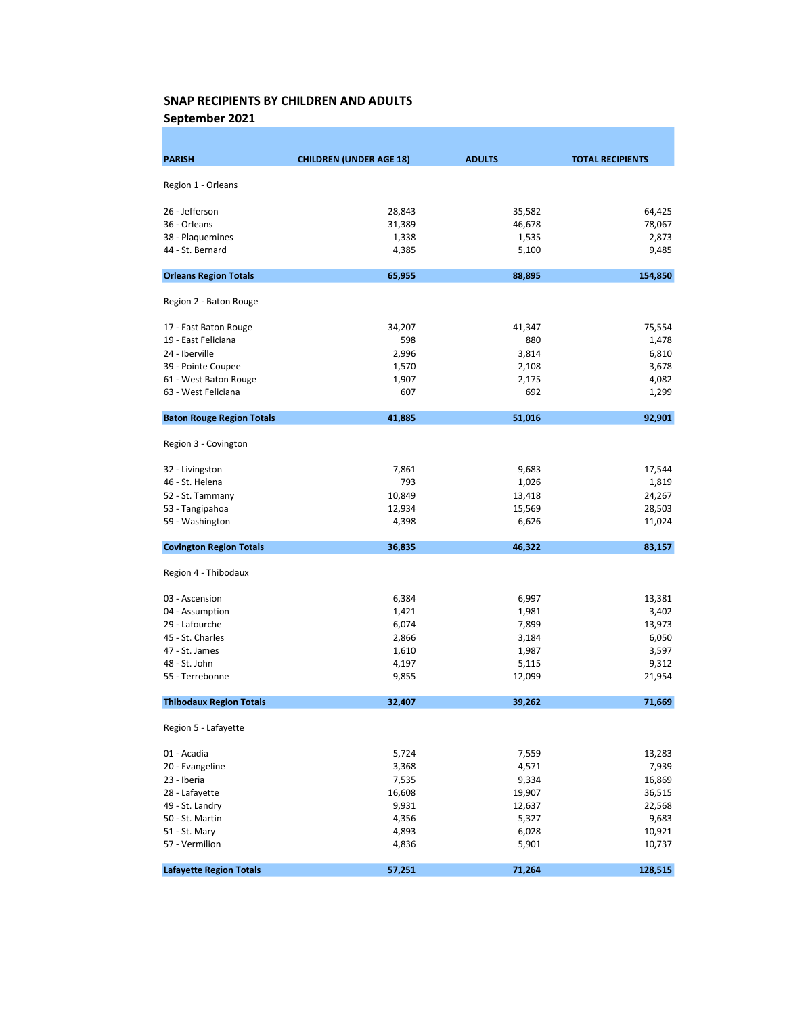September 2021

| <b>PARISH</b>                    | <b>CHILDREN (UNDER AGE 18)</b> | <b>ADULTS</b> | <b>TOTAL RECIPIENTS</b> |
|----------------------------------|--------------------------------|---------------|-------------------------|
| Region 1 - Orleans               |                                |               |                         |
|                                  |                                |               |                         |
| 26 - Jefferson                   | 28,843                         | 35,582        | 64,425                  |
| 36 - Orleans                     | 31,389                         | 46,678        | 78,067                  |
| 38 - Plaquemines                 | 1,338                          | 1,535         | 2,873                   |
| 44 - St. Bernard                 | 4,385                          | 5,100         | 9,485                   |
| <b>Orleans Region Totals</b>     | 65,955                         | 88,895        | 154,850                 |
| Region 2 - Baton Rouge           |                                |               |                         |
| 17 - East Baton Rouge            | 34,207                         | 41,347        | 75,554                  |
| 19 - East Feliciana              | 598                            | 880           | 1,478                   |
| 24 - Iberville                   | 2,996                          | 3,814         | 6,810                   |
| 39 - Pointe Coupee               | 1,570                          | 2,108         | 3,678                   |
| 61 - West Baton Rouge            | 1,907                          | 2,175         | 4,082                   |
| 63 - West Feliciana              | 607                            | 692           | 1,299                   |
| <b>Baton Rouge Region Totals</b> | 41,885                         | 51,016        | 92,901                  |
| Region 3 - Covington             |                                |               |                         |
| 32 - Livingston                  | 7,861                          | 9,683         | 17,544                  |
| 46 - St. Helena                  | 793                            | 1,026         | 1,819                   |
| 52 - St. Tammany                 | 10,849                         | 13,418        | 24,267                  |
| 53 - Tangipahoa                  | 12,934                         | 15,569        | 28,503                  |
| 59 - Washington                  | 4,398                          | 6,626         | 11,024                  |
| <b>Covington Region Totals</b>   | 36,835                         | 46,322        | 83,157                  |
| Region 4 - Thibodaux             |                                |               |                         |
| 03 - Ascension                   | 6,384                          | 6,997         | 13,381                  |
| 04 - Assumption                  | 1,421                          | 1,981         | 3,402                   |
| 29 - Lafourche                   | 6,074                          | 7,899         | 13,973                  |
| 45 - St. Charles                 | 2,866                          | 3,184         | 6,050                   |
| 47 - St. James                   | 1,610                          | 1,987         | 3,597                   |
| 48 - St. John                    | 4,197                          | 5,115         | 9,312                   |
| 55 - Terrebonne                  | 9,855                          | 12,099        | 21,954                  |
| <b>Thibodaux Region Totals</b>   | 32,407                         | 39,262        | 71,669                  |
| Region 5 - Lafayette             |                                |               |                         |
| 01 - Acadia                      | 5,724                          | 7,559         | 13,283                  |
| 20 - Evangeline                  | 3,368                          | 4,571         | 7,939                   |
| 23 - Iberia                      | 7,535                          | 9,334         | 16,869                  |
| 28 - Lafayette                   | 16,608                         | 19,907        | 36,515                  |
| 49 - St. Landry                  | 9,931                          | 12,637        | 22,568                  |
| 50 - St. Martin                  | 4,356                          | 5,327         | 9,683                   |
| 51 - St. Mary                    | 4,893                          | 6,028         | 10,921                  |
| 57 - Vermilion                   | 4,836                          | 5,901         | 10,737                  |
| <b>Lafayette Region Totals</b>   | 57,251                         | 71,264        | 128,515                 |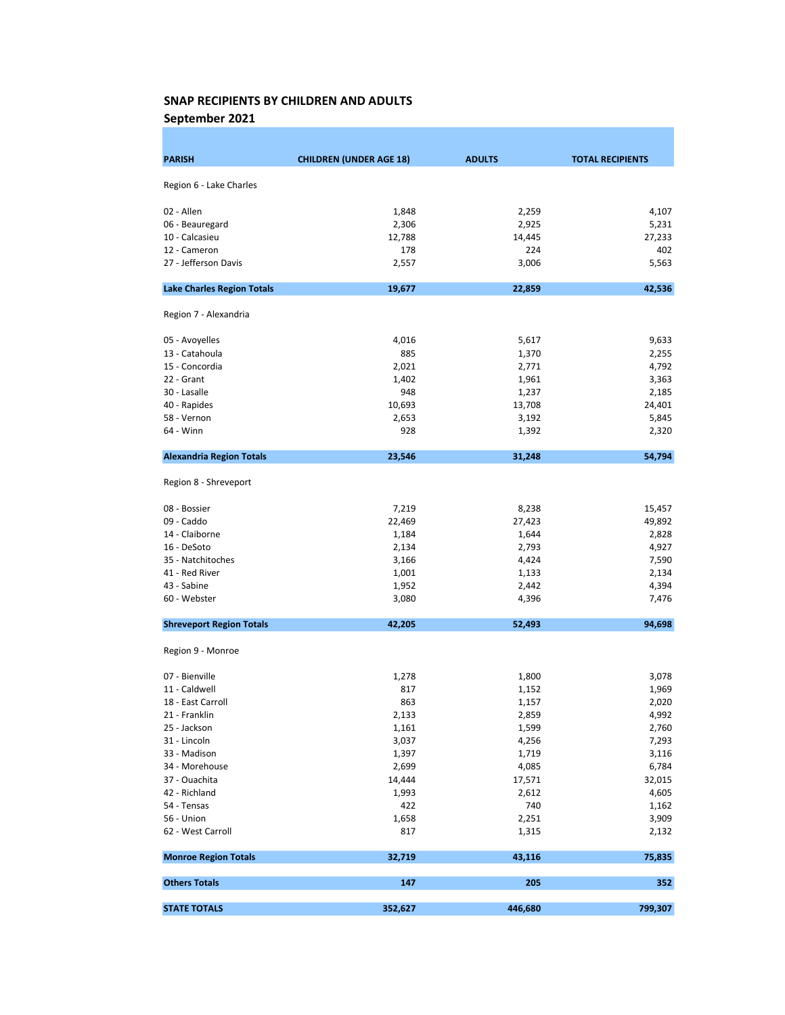September 2021

| <b>PARISH</b>                     | <b>CHILDREN (UNDER AGE 18)</b> | <b>ADULTS</b> | <b>TOTAL RECIPIENTS</b> |
|-----------------------------------|--------------------------------|---------------|-------------------------|
| Region 6 - Lake Charles           |                                |               |                         |
|                                   |                                |               |                         |
| 02 - Allen                        | 1,848                          | 2,259         | 4,107                   |
| 06 - Beauregard                   | 2,306                          | 2,925         | 5,231                   |
| 10 - Calcasieu                    | 12,788                         | 14,445        | 27,233                  |
| 12 - Cameron                      | 178                            | 224           | 402                     |
| 27 - Jefferson Davis              | 2,557                          | 3,006         | 5,563                   |
| <b>Lake Charles Region Totals</b> | 19,677                         | 22,859        | 42,536                  |
| Region 7 - Alexandria             |                                |               |                         |
| 05 - Avoyelles                    | 4,016                          | 5,617         | 9,633                   |
| 13 - Catahoula                    | 885                            | 1,370         | 2,255                   |
| 15 - Concordia                    | 2,021                          | 2,771         | 4,792                   |
| 22 - Grant                        | 1,402                          | 1,961         | 3,363                   |
| 30 - Lasalle                      | 948                            | 1,237         | 2,185                   |
| 40 - Rapides                      | 10,693                         | 13,708        | 24,401                  |
| 58 - Vernon                       | 2,653                          | 3,192         | 5,845                   |
| 64 - Winn                         | 928                            | 1,392         | 2,320                   |
| <b>Alexandria Region Totals</b>   | 23,546                         | 31,248        | 54,794                  |
| Region 8 - Shreveport             |                                |               |                         |
| 08 - Bossier                      | 7,219                          | 8,238         | 15,457                  |
| 09 - Caddo                        | 22,469                         | 27,423        | 49,892                  |
| 14 - Claiborne                    | 1,184                          | 1,644         | 2,828                   |
| 16 - DeSoto                       | 2,134                          | 2,793         | 4,927                   |
| 35 - Natchitoches                 | 3,166                          | 4,424         | 7,590                   |
| 41 - Red River                    | 1,001                          | 1,133         | 2,134                   |
| 43 - Sabine                       | 1,952                          | 2,442         | 4,394                   |
| 60 - Webster                      | 3,080                          | 4,396         | 7,476                   |
| <b>Shreveport Region Totals</b>   | 42,205                         | 52,493        | 94,698                  |
| Region 9 - Monroe                 |                                |               |                         |
|                                   |                                |               |                         |
| 07 - Bienville                    | 1,278                          | 1,800         | 3,078                   |
| 11 - Caldwell                     | 817                            | 1,152         | 1,969                   |
| 18 - East Carroll                 | 863                            | 1,157         | 2,020                   |
| 21 - Franklin                     | 2,133                          | 2,859         | 4,992                   |
| 25 - Jackson                      | 1,161                          | 1,599         | 2,760                   |
| 31 - Lincoln                      | 3,037                          | 4,256         | 7,293                   |
| 33 - Madison                      | 1,397                          | 1,719         | 3,116                   |
| 34 - Morehouse                    | 2,699                          | 4,085         | 6,784                   |
| 37 - Ouachita                     | 14,444                         | 17,571        | 32,015                  |
| 42 - Richland                     | 1,993                          | 2,612         | 4,605                   |
| 54 - Tensas                       | 422                            | 740           | 1,162                   |
| 56 - Union                        | 1,658                          | 2,251         | 3,909                   |
| 62 - West Carroll                 | 817                            | 1,315         | 2,132                   |
| <b>Monroe Region Totals</b>       | 32,719                         | 43,116        | 75,835                  |
| <b>Others Totals</b>              | 147                            | 205           | 352                     |
| <b>STATE TOTALS</b>               | 352,627                        | 446,680       | 799,307                 |
|                                   |                                |               |                         |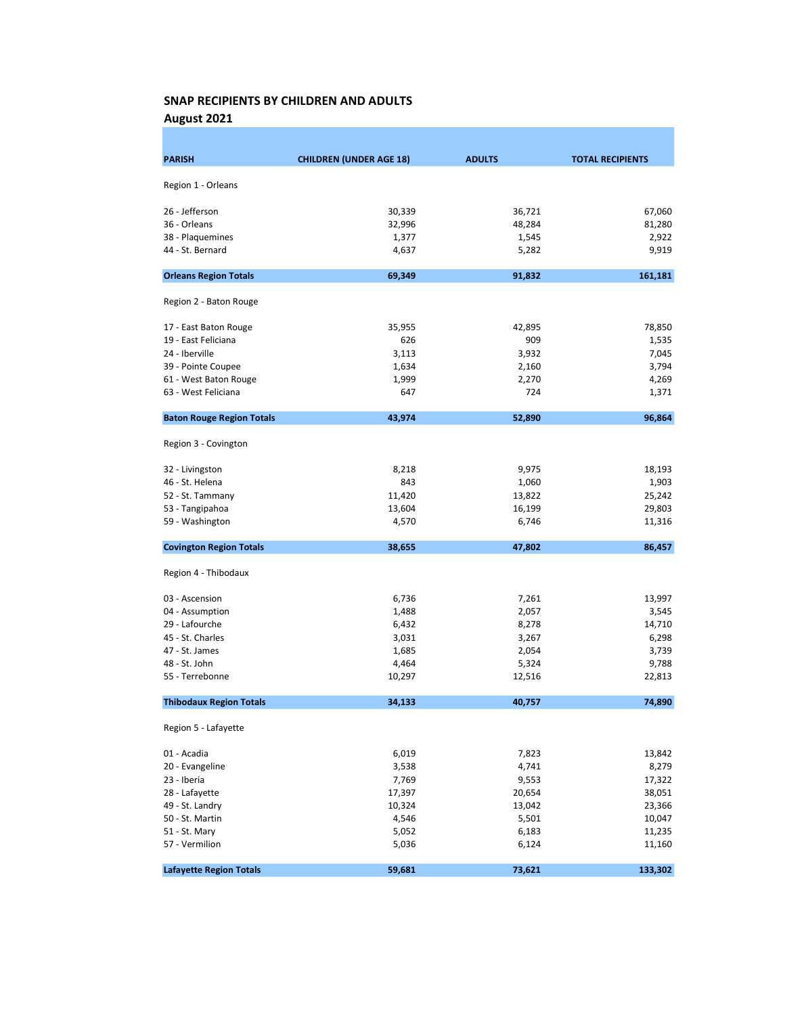August 2021

| <b>PARISH</b>                    | <b>CHILDREN (UNDER AGE 18)</b> | <b>ADULTS</b> | <b>TOTAL RECIPIENTS</b> |
|----------------------------------|--------------------------------|---------------|-------------------------|
|                                  |                                |               |                         |
| Region 1 - Orleans               |                                |               |                         |
| 26 - Jefferson                   | 30,339                         | 36,721        | 67,060                  |
| 36 - Orleans                     | 32,996                         | 48,284        | 81,280                  |
| 38 - Plaquemines                 | 1,377                          | 1,545         | 2,922                   |
| 44 - St. Bernard                 | 4,637                          | 5,282         | 9,919                   |
|                                  |                                |               |                         |
| <b>Orleans Region Totals</b>     | 69,349                         | 91,832        | 161,181                 |
| Region 2 - Baton Rouge           |                                |               |                         |
| 17 - East Baton Rouge            | 35,955                         | 42,895        | 78,850                  |
| 19 - East Feliciana              | 626                            | 909           | 1,535                   |
| 24 - Iberville                   | 3,113                          | 3,932         | 7,045                   |
| 39 - Pointe Coupee               | 1,634                          | 2,160         | 3,794                   |
| 61 - West Baton Rouge            | 1,999                          | 2,270         | 4,269                   |
| 63 - West Feliciana              | 647                            | 724           | 1,371                   |
| <b>Baton Rouge Region Totals</b> | 43,974                         | 52,890        | 96,864                  |
| Region 3 - Covington             |                                |               |                         |
| 32 - Livingston                  | 8,218                          | 9,975         | 18,193                  |
| 46 - St. Helena                  | 843                            | 1,060         | 1,903                   |
| 52 - St. Tammany                 | 11,420                         | 13,822        | 25,242                  |
| 53 - Tangipahoa                  | 13,604                         | 16,199        | 29,803                  |
| 59 - Washington                  | 4,570                          | 6,746         | 11,316                  |
| <b>Covington Region Totals</b>   | 38,655                         | 47,802        | 86,457                  |
| Region 4 - Thibodaux             |                                |               |                         |
| 03 - Ascension                   | 6,736                          | 7,261         | 13,997                  |
| 04 - Assumption                  | 1,488                          | 2,057         | 3,545                   |
| 29 - Lafourche                   | 6,432                          | 8,278         | 14,710                  |
| 45 - St. Charles                 | 3,031                          | 3,267         | 6,298                   |
| 47 - St. James                   | 1,685                          | 2,054         | 3,739                   |
| 48 - St. John                    | 4,464                          | 5,324         | 9,788                   |
| 55 - Terrebonne                  | 10,297                         | 12,516        | 22,813                  |
| <b>Thibodaux Region Totals</b>   | 34,133                         | 40,757        | 74,890                  |
| Region 5 - Lafayette             |                                |               |                         |
| 01 - Acadia                      | 6,019                          | 7,823         | 13,842                  |
| 20 - Evangeline                  | 3,538                          | 4,741         | 8,279                   |
| 23 - Iberia                      | 7,769                          | 9,553         | 17,322                  |
| 28 - Lafayette                   | 17,397                         | 20,654        | 38,051                  |
| 49 - St. Landry                  | 10,324                         | 13,042        | 23,366                  |
| 50 - St. Martin                  | 4,546                          | 5,501         | 10,047                  |
| 51 - St. Mary                    | 5,052                          | 6,183         | 11,235                  |
| 57 - Vermilion                   | 5,036                          | 6,124         | 11,160                  |
| <b>Lafayette Region Totals</b>   | 59,681                         | 73,621        | 133,302                 |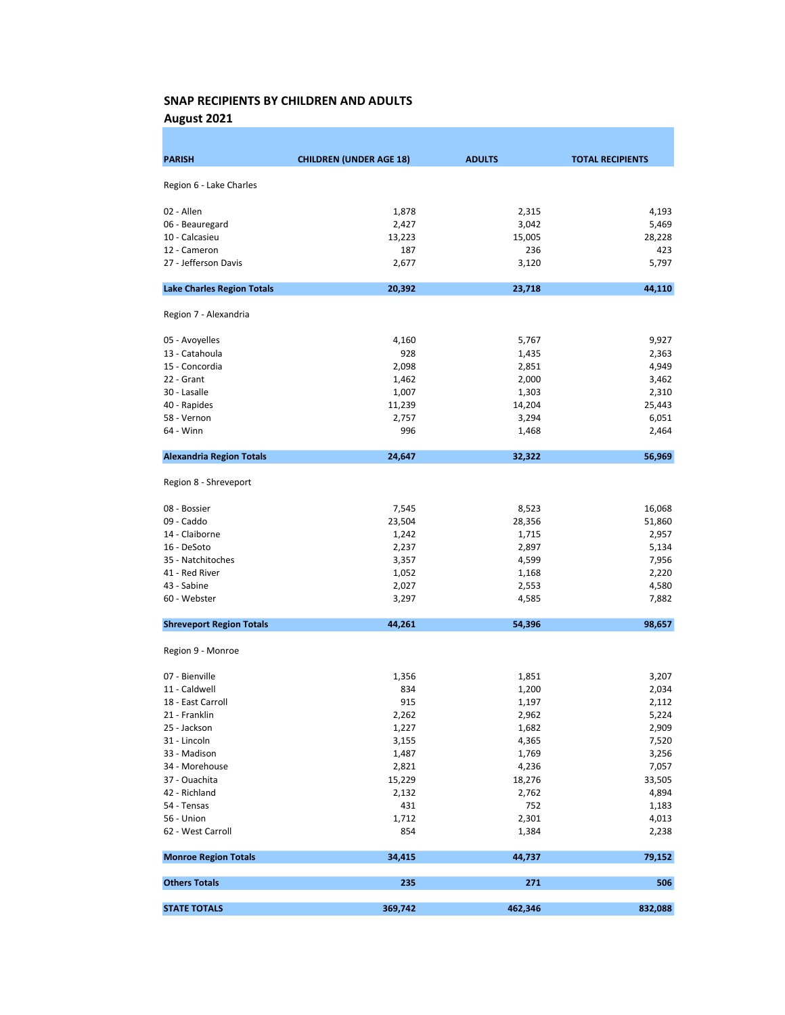August 2021

| <b>PARISH</b>                     | <b>CHILDREN (UNDER AGE 18)</b> | <b>ADULTS</b> | <b>TOTAL RECIPIENTS</b> |
|-----------------------------------|--------------------------------|---------------|-------------------------|
|                                   |                                |               |                         |
| Region 6 - Lake Charles           |                                |               |                         |
| 02 - Allen                        | 1,878                          | 2,315         | 4,193                   |
| 06 - Beauregard                   | 2,427                          | 3,042         | 5,469                   |
| 10 - Calcasieu                    | 13,223                         | 15,005        | 28,228                  |
| 12 - Cameron                      | 187                            | 236           | 423                     |
| 27 - Jefferson Davis              | 2,677                          | 3,120         | 5,797                   |
| <b>Lake Charles Region Totals</b> | 20,392                         | 23,718        | 44,110                  |
| Region 7 - Alexandria             |                                |               |                         |
| 05 - Avoyelles                    | 4,160                          | 5,767         | 9,927                   |
| 13 - Catahoula                    | 928                            | 1,435         | 2,363                   |
| 15 - Concordia                    | 2,098                          | 2,851         | 4,949                   |
| 22 - Grant                        | 1,462                          | 2,000         | 3,462                   |
| 30 - Lasalle                      | 1,007                          | 1,303         | 2,310                   |
| 40 - Rapides                      | 11,239                         | 14,204        | 25,443                  |
| 58 - Vernon                       | 2,757                          | 3,294         | 6,051                   |
| 64 - Winn                         | 996                            | 1,468         | 2,464                   |
| <b>Alexandria Region Totals</b>   | 24,647                         | 32,322        | 56,969                  |
| Region 8 - Shreveport             |                                |               |                         |
| 08 - Bossier                      | 7,545                          | 8,523         | 16,068                  |
| 09 - Caddo                        | 23,504                         | 28,356        | 51,860                  |
| 14 - Claiborne                    | 1,242                          | 1,715         | 2,957                   |
| 16 - DeSoto                       | 2,237                          | 2,897         | 5,134                   |
| 35 - Natchitoches                 | 3,357                          | 4,599         | 7,956                   |
| 41 - Red River                    | 1,052                          | 1,168         | 2,220                   |
| 43 - Sabine                       | 2,027                          | 2,553         | 4,580                   |
| 60 - Webster                      | 3,297                          | 4,585         | 7,882                   |
| <b>Shreveport Region Totals</b>   | 44,261                         | 54,396        | 98,657                  |
| Region 9 - Monroe                 |                                |               |                         |
| 07 - Bienville                    | 1,356                          | 1,851         | 3,207                   |
| 11 - Caldwell                     | 834                            | 1,200         | 2,034                   |
| 18 - East Carroll                 | 915                            | 1,197         | 2,112                   |
| 21 - Franklin                     | 2,262                          | 2,962         | 5,224                   |
| 25 - Jackson                      | 1,227                          | 1,682         | 2,909                   |
| 31 - Lincoln                      | 3,155                          | 4,365         | 7,520                   |
| 33 - Madison                      | 1,487                          | 1,769         | 3,256                   |
| 34 - Morehouse                    | 2,821                          | 4,236         | 7,057                   |
| 37 - Ouachita                     | 15,229                         | 18,276        | 33,505                  |
| 42 - Richland                     | 2,132                          | 2,762         | 4,894                   |
| 54 - Tensas                       | 431                            | 752           | 1,183                   |
| 56 - Union                        | 1,712                          | 2,301         | 4,013                   |
| 62 - West Carroll                 | 854                            | 1,384         | 2,238                   |
| <b>Monroe Region Totals</b>       | 34,415                         | 44,737        | 79,152                  |
| <b>Others Totals</b>              | 235                            | 271           | 506                     |
| <b>STATE TOTALS</b>               | 369,742                        | 462,346       | 832,088                 |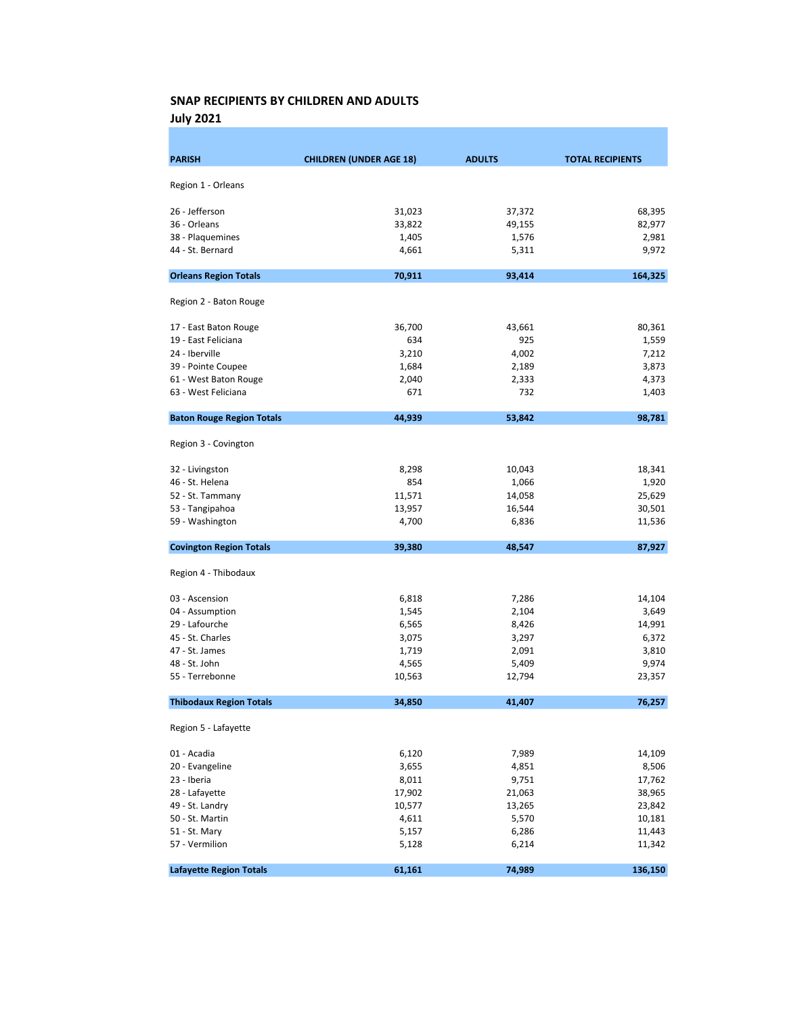July 2021

| <b>PARISH</b>                        | <b>CHILDREN (UNDER AGE 18)</b> | <b>ADULTS</b> | <b>TOTAL RECIPIENTS</b> |
|--------------------------------------|--------------------------------|---------------|-------------------------|
| Region 1 - Orleans                   |                                |               |                         |
|                                      |                                |               |                         |
| 26 - Jefferson                       | 31,023                         | 37,372        | 68,395                  |
| 36 - Orleans                         | 33,822                         | 49,155        | 82,977                  |
| 38 - Plaquemines<br>44 - St. Bernard | 1,405                          | 1,576         | 2,981                   |
|                                      | 4,661                          | 5,311         | 9,972                   |
| <b>Orleans Region Totals</b>         | 70,911                         | 93,414        | 164,325                 |
| Region 2 - Baton Rouge               |                                |               |                         |
| 17 - East Baton Rouge                | 36,700                         | 43,661        | 80,361                  |
| 19 - East Feliciana                  | 634                            | 925           | 1,559                   |
| 24 - Iberville                       | 3,210                          | 4,002         | 7,212                   |
| 39 - Pointe Coupee                   | 1,684                          | 2,189         | 3,873                   |
| 61 - West Baton Rouge                | 2,040                          | 2,333         | 4,373                   |
| 63 - West Feliciana                  | 671                            | 732           | 1,403                   |
| <b>Baton Rouge Region Totals</b>     | 44,939                         | 53,842        | 98,781                  |
|                                      |                                |               |                         |
| Region 3 - Covington                 |                                |               |                         |
| 32 - Livingston                      | 8,298                          | 10,043        | 18,341                  |
| 46 - St. Helena                      | 854                            | 1,066         | 1,920                   |
| 52 - St. Tammany                     | 11,571                         | 14,058        | 25,629                  |
| 53 - Tangipahoa                      | 13,957                         | 16,544        | 30,501                  |
| 59 - Washington                      | 4,700                          | 6,836         | 11,536                  |
| <b>Covington Region Totals</b>       | 39,380                         | 48,547        | 87,927                  |
| Region 4 - Thibodaux                 |                                |               |                         |
| 03 - Ascension                       | 6,818                          | 7,286         | 14,104                  |
| 04 - Assumption                      | 1,545                          | 2,104         | 3,649                   |
| 29 - Lafourche                       | 6,565                          | 8,426         | 14,991                  |
| 45 - St. Charles                     | 3,075                          | 3,297         | 6,372                   |
| 47 - St. James                       | 1,719                          | 2,091         | 3,810                   |
| 48 - St. John                        | 4,565                          | 5,409         | 9,974                   |
| 55 - Terrebonne                      | 10,563                         | 12,794        | 23,357                  |
| <b>Thibodaux Region Totals</b>       | 34,850                         | 41,407        | 76,257                  |
| Region 5 - Lafayette                 |                                |               |                         |
| 01 - Acadia                          | 6,120                          | 7,989         | 14,109                  |
| 20 - Evangeline                      | 3,655                          | 4,851         | 8,506                   |
| 23 - Iberia                          | 8,011                          | 9,751         | 17,762                  |
| 28 - Lafayette                       | 17,902                         | 21,063        | 38,965                  |
| 49 - St. Landry                      | 10,577                         | 13,265        | 23,842                  |
| 50 - St. Martin                      | 4,611                          | 5,570         | 10,181                  |
| 51 - St. Mary                        | 5,157                          | 6,286         | 11,443                  |
| 57 - Vermilion                       | 5,128                          | 6,214         | 11,342                  |
| <b>Lafayette Region Totals</b>       | 61,161                         | 74,989        | 136,150                 |
|                                      |                                |               |                         |